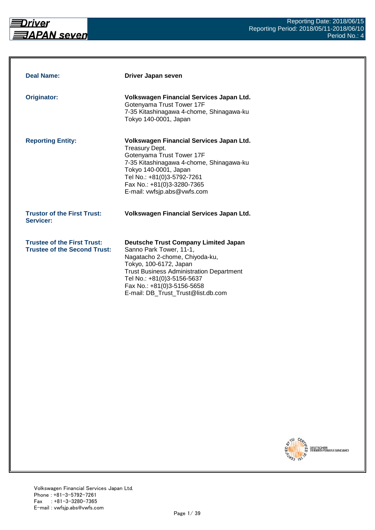

| <b>Deal Name:</b>                                                         | Driver Japan seven                                                                                                                                                                                                                                                                      |
|---------------------------------------------------------------------------|-----------------------------------------------------------------------------------------------------------------------------------------------------------------------------------------------------------------------------------------------------------------------------------------|
| <b>Originator:</b>                                                        | Volkswagen Financial Services Japan Ltd.<br>Gotenyama Trust Tower 17F<br>7-35 Kitashinagawa 4-chome, Shinagawa-ku<br>Tokyo 140-0001, Japan                                                                                                                                              |
| <b>Reporting Entity:</b>                                                  | Volkswagen Financial Services Japan Ltd.<br>Treasury Dept.<br>Gotenyama Trust Tower 17F<br>7-35 Kitashinagawa 4-chome, Shinagawa-ku<br>Tokyo 140-0001, Japan<br>Tel No.: +81(0)3-5792-7261<br>Fax No.: +81(0)3-3280-7365<br>E-mail: vwfsjp.abs@vwfs.com                                 |
| <b>Trustor of the First Trust:</b><br>Servicer:                           | Volkswagen Financial Services Japan Ltd.                                                                                                                                                                                                                                                |
| <b>Trustee of the First Trust:</b><br><b>Trustee of the Second Trust:</b> | <b>Deutsche Trust Company Limited Japan</b><br>Sanno Park Tower, 11-1,<br>Nagatacho 2-chome, Chiyoda-ku,<br>Tokyo, 100-6172, Japan<br><b>Trust Business Administration Department</b><br>Tel No.: +81(0)3-5156-5637<br>Fax No.: +81(0)3-5156-5658<br>E-mail: DB_Trust_Trust@list.db.com |

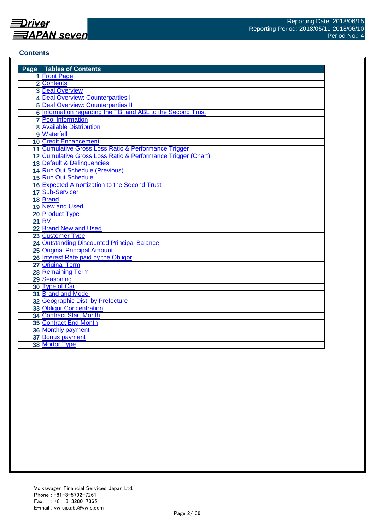#### **Contents**

| <b>Page</b> Tables of Contents                                 |
|----------------------------------------------------------------|
| 1 Front Page                                                   |
| 2 Contents                                                     |
| <b>3 Deal Overview</b>                                         |
| 4 Deal Overview: Counterparties I                              |
| <b>5 Deal Overview: Counterparties II</b>                      |
| 6 Information regarding the TBI and ABL to the Second Trust    |
| <b>7</b> Pool Information                                      |
| <b>8</b> Available Distribution                                |
| 9 Waterfall                                                    |
| <b>10 Credit Enhancement</b>                                   |
| 11 Cumulative Gross Loss Ratio & Performance Trigger           |
| 12 Cumulative Gross Loss Ratio & Performance Trigger (Chart)   |
| 13 Default & Delinquencies                                     |
| 14 Run Out Schedule (Previous)                                 |
| 15 Run Out Schedule                                            |
| 16 Expected Amortization to the Second Trust                   |
| 17 Sub-Servicer                                                |
| 18 Brand                                                       |
| 19 New and Used                                                |
| 20 Product Type                                                |
| 21 RV                                                          |
| 22 Brand New and Used                                          |
| 23 Customer Type                                               |
| 24 Outstanding Discounted Principal Balance                    |
| <b>25 Original Principal Amount</b>                            |
| 26 Interest Rate paid by the Obligor                           |
| 27 Original Term                                               |
| <b>28 Remaining Term</b>                                       |
| 29 Seasoning                                                   |
| 30 Type of Car                                                 |
| 31 Brand and Model                                             |
| 32 Geographic Dist. by Prefecture                              |
| <b>33 Obligor Concentration</b>                                |
| <b>34 Contract Start Month</b><br><b>35 Contract End Month</b> |
|                                                                |
| <b>36 Monthly payment</b>                                      |
| 37 Bonus payment                                               |
| 38 Mortor Type                                                 |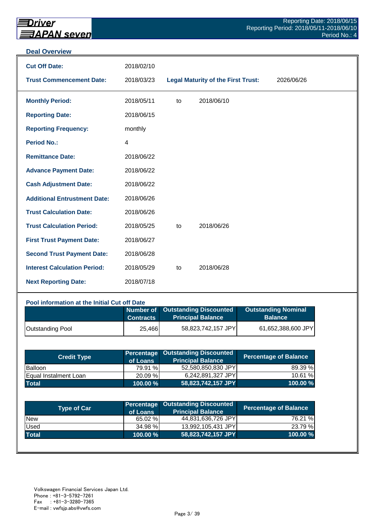#### **Deal Overview**

| <b>Cut Off Date:</b>                | 2018/02/10 |    |                                           |            |
|-------------------------------------|------------|----|-------------------------------------------|------------|
| <b>Trust Commencement Date:</b>     | 2018/03/23 |    | <b>Legal Maturity of the First Trust:</b> | 2026/06/26 |
| <b>Monthly Period:</b>              | 2018/05/11 | to | 2018/06/10                                |            |
| <b>Reporting Date:</b>              | 2018/06/15 |    |                                           |            |
| <b>Reporting Frequency:</b>         | monthly    |    |                                           |            |
| <b>Period No.:</b>                  | 4          |    |                                           |            |
| <b>Remittance Date:</b>             | 2018/06/22 |    |                                           |            |
| <b>Advance Payment Date:</b>        | 2018/06/22 |    |                                           |            |
| <b>Cash Adjustment Date:</b>        | 2018/06/22 |    |                                           |            |
| <b>Additional Entrustment Date:</b> | 2018/06/26 |    |                                           |            |
| <b>Trust Calculation Date:</b>      | 2018/06/26 |    |                                           |            |
| <b>Trust Calculation Period:</b>    | 2018/05/25 | to | 2018/06/26                                |            |
| <b>First Trust Payment Date:</b>    | 2018/06/27 |    |                                           |            |
| <b>Second Trust Payment Date:</b>   | 2018/06/28 |    |                                           |            |
| <b>Interest Calculation Period:</b> | 2018/05/29 | to | 2018/06/28                                |            |
| <b>Next Reporting Date:</b>         | 2018/07/18 |    |                                           |            |

## **Pool information at the Initial Cut off Date**

|                         | <b>Contracts</b> | Number of Outstanding Discounted<br>Principal Balance <sup>1</sup> | <b>Outstanding Nominal</b><br><b>Balance</b> |
|-------------------------|------------------|--------------------------------------------------------------------|----------------------------------------------|
| <b>Outstanding Pool</b> | 25,466           | 58,823,742,157 JPY                                                 | 61,652,388,600 JPY                           |

| <b>Credit Type</b>    | of Loans    | <b>Percentage Outstanding Discounted</b><br><b>Principal Balance</b> | <b>Percentage of Balance</b> |
|-----------------------|-------------|----------------------------------------------------------------------|------------------------------|
| <b>Balloon</b>        | 79.91 %     | 52,580,850,830 JPY                                                   | 89.39 %                      |
| Equal Instalment Loan | 20.09 %     | 6,242,891,327 JPY                                                    | 10.61 %                      |
| <b>Total</b>          | $100.00 \%$ | 58,823,742,157 JPY                                                   | 100.00 %                     |

| <b>Type of Car</b> | of Loans | <b>Percentage Outstanding Discounted</b><br><b>Principal Balance</b> | <b>Percentage of Balance</b> |
|--------------------|----------|----------------------------------------------------------------------|------------------------------|
| <b>New</b>         | 65.02 %  | 44,831,636,726 JPY                                                   | 76.21 %                      |
| Used               | 34.98 %  | 13,992,105,431 JPY                                                   | 23.79 %                      |
| <b>Total</b>       | 100.00 % | 58,823,742,157 JPY                                                   | 100.00%                      |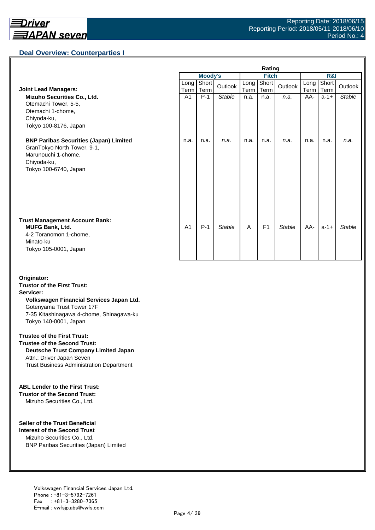## **Deal Overview: Counterparties I**

|                                                                                                                                             | Rating         |                |               |              |                |               |                |               |               |
|---------------------------------------------------------------------------------------------------------------------------------------------|----------------|----------------|---------------|--------------|----------------|---------------|----------------|---------------|---------------|
|                                                                                                                                             |                | <b>Moody's</b> |               | <b>Fitch</b> |                |               | <b>R&amp;I</b> |               |               |
| <b>Joint Lead Managers:</b>                                                                                                                 | Long<br>Term   | Short<br>Term  | Outlook       | Long<br>Term | Short<br>Term  | Outlook       | Long<br>Term   | Short<br>Term | Outlook       |
| Mizuho Securities Co., Ltd.<br>Otemachi Tower, 5-5,<br>Otemachi 1-chome,<br>Chiyoda-ku,<br>Tokyo 100-8176, Japan                            | A <sub>1</sub> | $P-1$          | <b>Stable</b> | n.a.         | n.a.           | n.a.          | AA-            | $a-1+$        | <b>Stable</b> |
| <b>BNP Paribas Securities (Japan) Limited</b><br>GranTokyo North Tower, 9-1,<br>Marunouchi 1-chome,<br>Chiyoda-ku,<br>Tokyo 100-6740, Japan | n.a.           | n.a.           | n.a.          | n.a.         | n.a.           | n.a.          | n.a.           | n.a.          | n.a.          |
| <b>Trust Management Account Bank:</b><br><b>MUFG Bank, Ltd.</b><br>4-2 Toranomon 1-chome,<br>Minato-ku<br>Tokyo 105-0001, Japan             | A <sub>1</sub> | $P-1$          | <b>Stable</b> | A            | F <sub>1</sub> | <b>Stable</b> | AA-            | $a-1+$        | Stable        |

#### **Originator: Trustor of the First Trust: Servicer: Volkswagen Financial Services Japan Ltd.** Gotenyama Trust Tower 17F 7-35 Kitashinagawa 4-chome, Shinagawa-ku Tokyo 140-0001, Japan

#### **Trustee of the First Trust:**

**Trustee of the Second Trust: Deutsche Trust Company Limited Japan** Attn.: Driver Japan Seven Trust Business Administration Department

#### **ABL Lender to the First Trust:**

**Trustor of the Second Trust:** Mizuho Securities Co., Ltd.

#### **Seller of the Trust Beneficial**

**Interest of the Second Trust** Mizuho Securities Co., Ltd. BNP Paribas Securities (Japan) Limited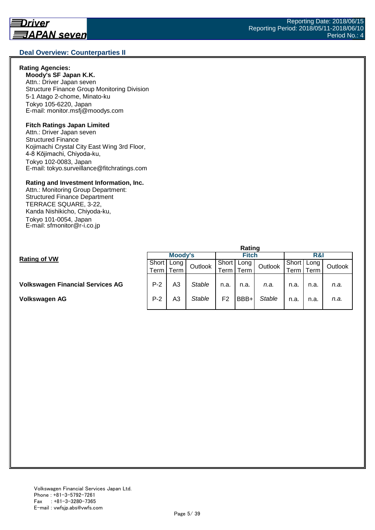#### **Deal Overview: Counterparties II**

#### **Rating Agencies:**

**Moody's SF Japan K.K.** Attn.: Driver Japan seven Structure Finance Group Monitoring Division 5-1 Atago 2-chome, Minato-ku Tokyo 105-6220, Japan E-mail: monitor.msfj@moodys.com

#### **Fitch Ratings Japan Limited**

Attn.: Driver Japan seven Structured Finance Kojimachi Crystal City East Wing 3rd Floor, 4-8 Kōjimachi, Chiyoda-ku, Tokyo 102-0083, Japan E-mail: tokyo.surveillance@fitchratings.com

#### **Rating and Investment Information, Inc.**

Attn.: Monitoring Group Department: Structured Finance Department TERRACE SQUARE, 3-22, Kanda Nishikicho, Chiyoda-ku, Tokyo 101-0054, Japan E-mail: sfmonitor@r-i.co.jp

|                                         | Rating |         |               |       |              |               |                    |      |         |  |
|-----------------------------------------|--------|---------|---------------|-------|--------------|---------------|--------------------|------|---------|--|
| <b>Rating of VW</b>                     |        | Moody's |               |       | <b>Fitch</b> |               |                    | R&I  |         |  |
|                                         | Short  | Long I  | Outlook       | Short | Long         | Outlook       | Short              | Long | Outlook |  |
|                                         | Term   | Term    |               | Term. | Term         |               | <sup>⊤</sup> erm i | Term |         |  |
|                                         |        |         |               |       |              |               |                    |      |         |  |
| <b>Volkswagen Financial Services AG</b> | $P-2$  | A3      | <b>Stable</b> | n.a.  | n.a.         | n.a.          | n.a.               | n.a. | n.a.    |  |
|                                         |        |         |               |       |              |               |                    |      |         |  |
| Volkswagen AG                           | $P-2$  | A3      | Stable        | F2    | BBB+         | <b>Stable</b> | n.a.               | n.a. | n.a.    |  |
|                                         |        |         |               |       |              |               |                    |      |         |  |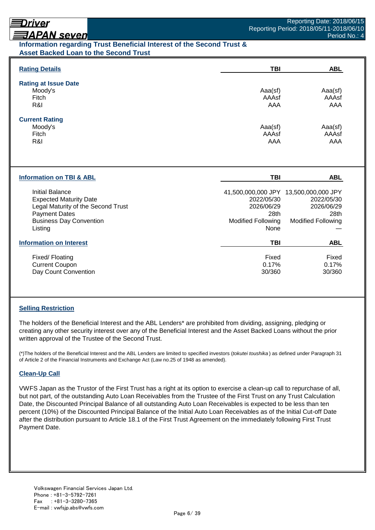# Driver

# **ヨAPAN seven**

## **Information regarding Trust Beneficial Interest of the Second Trust & Asset Backed Loan to the Second Trust**

| <b>Rating Details</b>               | <b>TBI</b>                | <b>ABL</b>                            |
|-------------------------------------|---------------------------|---------------------------------------|
| <b>Rating at Issue Date</b>         |                           |                                       |
| Moody's                             | Aaa(sf)                   | Aaa(sf)                               |
| Fitch                               | AAAsf                     | AAAsf                                 |
| R&I                                 | AAA                       | AAA                                   |
| <b>Current Rating</b>               |                           |                                       |
| Moody's                             | Aaa(sf)                   | Aaa(sf)                               |
| Fitch                               | AAAsf                     | AAAsf                                 |
| R&I                                 | AAA                       | AAA                                   |
| <b>Information on TBI &amp; ABL</b> | TBI                       | <b>ABL</b>                            |
| <b>Initial Balance</b>              |                           | 41,500,000,000 JPY 13,500,000,000 JPY |
| <b>Expected Maturity Date</b>       | 2022/05/30                | 2022/05/30                            |
| Legal Maturity of the Second Trust  | 2026/06/29                | 2026/06/29                            |
| <b>Payment Dates</b>                | 28th                      | 28th                                  |
| <b>Business Day Convention</b>      | <b>Modified Following</b> | <b>Modified Following</b>             |
| Listing                             | None                      |                                       |
| <b>Information on Interest</b>      | TBI                       | <b>ABL</b>                            |
| Fixed/Floating                      | Fixed                     | Fixed                                 |
| <b>Current Coupon</b>               | 0.17%                     | 0.17%                                 |
| Day Count Convention                | 30/360                    | 30/360                                |

## **Selling Restriction**

The holders of the Beneficial Interest and the ABL Lenders\* are prohibited from dividing, assigning, pledging or creating any other security interest over any of the Beneficial Interest and the Asset Backed Loans without the prior written approval of the Trustee of the Second Trust.

(\*)The holders of the Beneficial Interest and the ABL Lenders are limited to specified investors (*tokutei toushika* ) as defined under Paragraph 31 of Article 2 of the Financial Instruments and Exchange Act (Law no.25 of 1948 as amended).

## **Clean-Up Call**

VWFS Japan as the Trustor of the First Trust has a right at its option to exercise a clean-up call to repurchase of all, but not part, of the outstanding Auto Loan Receivables from the Trustee of the First Trust on any Trust Calculation Date, the Discounted Principal Balance of all outstanding Auto Loan Receivables is expected to be less than ten percent (10%) of the Discounted Principal Balance of the Initial Auto Loan Receivables as of the Initial Cut-off Date after the distribution pursuant to Article 18.1 of the First Trust Agreement on the immediately following First Trust Payment Date.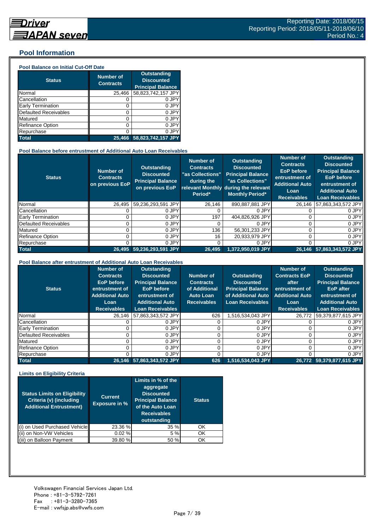## **Pool Information**

#### **Pool Balance on Initial Cut-Off Date**

| <b>Status</b>                | <b>Number of</b><br><b>Contracts</b> | Outstanding<br><b>Discounted</b><br><b>Principal Balance</b> |
|------------------------------|--------------------------------------|--------------------------------------------------------------|
| Normal                       | 25,466                               | 58,823,742,157 JPY                                           |
| Cancellation                 | O                                    | 0 JPY                                                        |
| Early Termination            | 0                                    | 0 JPY                                                        |
| <b>Defaulted Receivables</b> | 0                                    | 0 JPY                                                        |
| Matured                      | 0                                    | 0 JPY                                                        |
| <b>Refinance Option</b>      | 0                                    | 0 JPY                                                        |
| Repurchase                   | ი                                    | 0 JPY                                                        |
| <b>Total</b>                 | 25.466                               | 58,823,742,157 JPY                                           |

#### **Pool Balance before entrustment of Additional Auto Loan Receivables**

| <b>Status</b>            | <b>Number of</b><br><b>Contracts</b><br>on previous EoP | <b>Outstanding</b><br><b>Discounted</b><br><b>Principal Balance</b><br>on previous EoP | <b>Number of</b><br><b>Contracts</b><br>"as Collections"<br>during the<br>Period* | Outstanding<br><b>Discounted</b><br><b>Principal Balance</b><br>"as Collections"<br>relevant Monthly during the relevant<br><b>Monthly Period*</b> | <b>Number of</b><br><b>Contracts</b><br><b>EoP</b> before<br>entrustment of<br><b>Additional Auto</b><br>Loan<br><b>Receivables</b> | <b>Outstanding</b><br><b>Discounted</b><br><b>Principal Balance</b><br><b>EoP</b> before<br>entrustment of<br><b>Additional Auto</b><br><b>Loan Receivables</b> |
|--------------------------|---------------------------------------------------------|----------------------------------------------------------------------------------------|-----------------------------------------------------------------------------------|----------------------------------------------------------------------------------------------------------------------------------------------------|-------------------------------------------------------------------------------------------------------------------------------------|-----------------------------------------------------------------------------------------------------------------------------------------------------------------|
| Normal                   | 26.495                                                  | 59,236,293,591 JPY                                                                     | 26.146                                                                            | 890.887.881 JPY                                                                                                                                    | 26.146                                                                                                                              | 57,863,343,572 JPY                                                                                                                                              |
| Cancellation             |                                                         | 0 JPY                                                                                  |                                                                                   | 0 JPY                                                                                                                                              |                                                                                                                                     | 0 JPY                                                                                                                                                           |
| <b>Early Termination</b> |                                                         | 0 JPY                                                                                  | 197                                                                               | 404,826,926 JPY                                                                                                                                    |                                                                                                                                     | 0 JPY                                                                                                                                                           |
| Defaulted Receivables    |                                                         | 0 JPY                                                                                  |                                                                                   | 0 JPY                                                                                                                                              |                                                                                                                                     | 0 JPY                                                                                                                                                           |
| Matured                  |                                                         | 0 JPY                                                                                  | 136                                                                               | 56,301,233 JPY                                                                                                                                     |                                                                                                                                     | 0 JPY                                                                                                                                                           |
| <b>Refinance Option</b>  |                                                         | 0 JPY                                                                                  | 16                                                                                | 20.933.979 JPY                                                                                                                                     |                                                                                                                                     | 0 JPY                                                                                                                                                           |
| Repurchase               |                                                         | 0 JPY                                                                                  |                                                                                   | 0 JPY                                                                                                                                              |                                                                                                                                     | 0 JPY                                                                                                                                                           |
| <b>Total</b>             | 26.495                                                  | 59,236,293,591 JPY                                                                     | 26,495                                                                            | 1.372.950.019 JPY                                                                                                                                  |                                                                                                                                     | 26,146 57,863,343,572 JPY                                                                                                                                       |

#### **Pool Balance after entrustment of Additional Auto Loan Receivables**

| <b>Status</b>            | <b>Number of</b><br><b>Contracts</b><br>EoP before<br>entrustment of<br><b>Additional Auto</b><br>Loan<br><b>Receivables</b> | <b>Outstanding</b><br><b>Discounted</b><br><b>Principal Balance</b><br><b>EoP</b> before<br>entrustment of<br><b>Additional Auto</b><br><b>Loan Receivables</b> | Number of<br><b>Contracts</b><br>of Additional<br><b>Auto Loan</b><br><b>Receivables</b> | <b>Outstanding</b><br><b>Discounted</b><br><b>Principal Balance</b><br>of Additional Auto<br><b>Loan Receivables</b> | <b>Number of</b><br><b>Contracts EoP</b><br>after<br>entrustment of<br><b>Additional Auto</b><br>Loan<br><b>Receivables</b> | <b>Outstanding</b><br><b>Discounted</b><br><b>Principal Balance</b><br><b>EoP</b> after<br>entrustment of<br><b>Additional Auto</b><br><b>Loan Receivables</b> |
|--------------------------|------------------------------------------------------------------------------------------------------------------------------|-----------------------------------------------------------------------------------------------------------------------------------------------------------------|------------------------------------------------------------------------------------------|----------------------------------------------------------------------------------------------------------------------|-----------------------------------------------------------------------------------------------------------------------------|----------------------------------------------------------------------------------------------------------------------------------------------------------------|
| Normal                   | 26.146                                                                                                                       | 57,863,343,572 JPY                                                                                                                                              | 626                                                                                      | 1,516,534,043 JPY                                                                                                    | 26.772                                                                                                                      | 59,379,877,615 JPY                                                                                                                                             |
| Cancellation             |                                                                                                                              | 0 JPY                                                                                                                                                           |                                                                                          | 0 JPY                                                                                                                |                                                                                                                             | 0 JPY                                                                                                                                                          |
| <b>Early Termination</b> |                                                                                                                              | 0 JPY                                                                                                                                                           |                                                                                          | 0 JPY                                                                                                                |                                                                                                                             | 0 JPY                                                                                                                                                          |
| Defaulted Receivables    |                                                                                                                              | 0 JPY                                                                                                                                                           |                                                                                          | 0 JPY                                                                                                                |                                                                                                                             | 0 JPY                                                                                                                                                          |
| Matured                  |                                                                                                                              | 0 JPY                                                                                                                                                           |                                                                                          | 0 JPY                                                                                                                |                                                                                                                             | 0 JPY                                                                                                                                                          |
| <b>Refinance Option</b>  |                                                                                                                              | 0 JPY                                                                                                                                                           |                                                                                          | 0 JPY                                                                                                                |                                                                                                                             | 0 JPY                                                                                                                                                          |
| Repurchase               |                                                                                                                              | 0 JPY                                                                                                                                                           |                                                                                          | 0 JPY                                                                                                                |                                                                                                                             | 0 JPY                                                                                                                                                          |
| <b>Total</b>             |                                                                                                                              | 26,146 57,863,343,572 JPY                                                                                                                                       | 626                                                                                      | 1,516,534,043 JPY                                                                                                    |                                                                                                                             | 26.772 59.379.877.615 JPY                                                                                                                                      |

#### **Limits on Eligibility Criteria**

| <b>Status Limits on Eligibility</b><br>Criteria (v) (including<br><b>Additional Entrustment)</b> | <b>Current</b><br><b>Exposure in %</b> | Limits in $%$ of the<br>aggregate<br><b>Discounted</b><br><b>Principal Balance</b><br>of the Auto Loan<br><b>Receivables</b><br>outstanding | <b>Status</b> |
|--------------------------------------------------------------------------------------------------|----------------------------------------|---------------------------------------------------------------------------------------------------------------------------------------------|---------------|
| on Used Purchased Vehicle                                                                        | 23.36 %                                | 35%                                                                                                                                         | OK            |
| on Non-VW Vehicles                                                                               | 0.02%                                  | 5 %                                                                                                                                         | OK            |
| on Balloon Payment                                                                               | 39.80 %                                | 50 %                                                                                                                                        | OK            |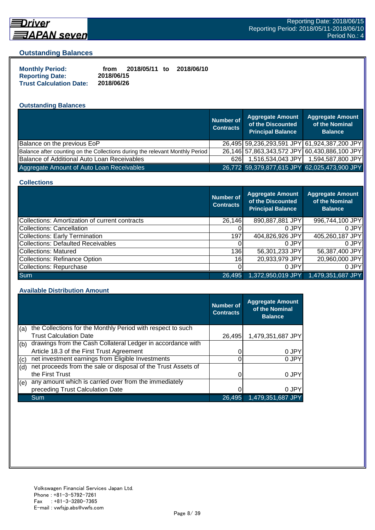

## **Driver**

#### **Outstanding Balances**

| <b>Monthly Period:</b>         | from       | 2018/05/11 to | 2018/06/10 |
|--------------------------------|------------|---------------|------------|
| <b>Reporting Date:</b>         | 2018/06/15 |               |            |
| <b>Trust Calculation Date:</b> | 2018/06/26 |               |            |

## **Outstanding Balances**

|                                                                              | <b>Number of</b><br><b>Contracts</b> | <b>Aggregate Amount</b><br>of the Discounted<br><b>Principal Balance</b> | <b>Aggregate Amount</b><br>of the Nominal<br><b>Balance</b> |
|------------------------------------------------------------------------------|--------------------------------------|--------------------------------------------------------------------------|-------------------------------------------------------------|
| Balance on the previous EoP                                                  |                                      |                                                                          | 26,495 59,236,293,591 JPY 61,924,387,200 JPY                |
| Balance after counting on the Collections during the relevant Monthly Period |                                      |                                                                          | 26,146 57,863,343,572 JPY 60,430,886,100 JPY                |
| Balance of Additional Auto Loan Receivables                                  | 6261                                 | 1,516,534,043 JPY                                                        | 1,594,587,800 JPY                                           |
| Aggregate Amount of Auto Loan Receivables                                    |                                      | 26,772 59,379,877,615 JPY 62,025,473,900 JPY                             |                                                             |

#### **Collections**

|                                                       | Number of<br><b>Contracts</b> | Aggregate Amount<br>of the Discounted<br><b>Principal Balance</b> | <b>Aggregate Amount</b><br>of the Nominal<br><b>Balance</b> |
|-------------------------------------------------------|-------------------------------|-------------------------------------------------------------------|-------------------------------------------------------------|
| <b>Collections: Amortization of current contracts</b> | 26,146                        | 890,887,881 JPY                                                   | 996,744,100 JPY                                             |
| <b>Collections: Cancellation</b>                      |                               | 0 JPY                                                             | 0 JPY                                                       |
| <b>Collections: Early Termination</b>                 | 197                           | 404,826,926 JPY                                                   | 405,260,187 JPY                                             |
| <b>Collections: Defaulted Receivables</b>             |                               | 0 JPY                                                             | 0 JPY                                                       |
| Collections: Matured                                  | 136                           | 56,301,233 JPY                                                    | 56,387,400 JPY                                              |
| <b>Collections: Refinance Option</b>                  | 16I                           | 20,933,979 JPY                                                    | 20,960,000 JPY                                              |
| Collections: Repurchase                               |                               | 0 JPY                                                             | 0 JPY                                                       |
| <b>Sum</b>                                            | 26,495                        | 1,372,950,019 JPY                                                 | 1,479,351,687 JPY                                           |

#### **Available Distribution Amount**

|     |                                                               | <b>Number of</b><br><b>Contracts</b> | <b>Aggregate Amount</b><br>of the Nominal<br><b>Balance</b> |
|-----|---------------------------------------------------------------|--------------------------------------|-------------------------------------------------------------|
| (a) | the Collections for the Monthly Period with respect to such   |                                      |                                                             |
|     | <b>Trust Calculation Date</b>                                 | 26,495                               | 1,479,351,687 JPY                                           |
| (b) | drawings from the Cash Collateral Ledger in accordance with   |                                      |                                                             |
|     | Article 18.3 of the First Trust Agreement                     |                                      | 0 JPY                                                       |
| (c) | net investment earnings from Eligible Investments             |                                      | 0 JPY                                                       |
| (d) | net proceeds from the sale or disposal of the Trust Assets of |                                      |                                                             |
|     | the First Trust                                               |                                      | 0 JPY                                                       |
| (e) | any amount which is carried over from the immediately         |                                      |                                                             |
|     | preceding Trust Calculation Date                              |                                      | 0 JPY                                                       |
|     | Sum                                                           | 26,495                               | 1,479,351,687 JPY                                           |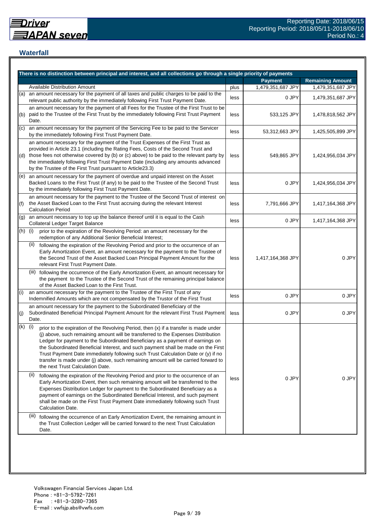## **Waterfall**

|     | There is no distinction between principal and interest, and all collections go through a single priority of payments                                                                                                                                                                                                                                                                                                                                                                                                                                                    |      |                   |                         |
|-----|-------------------------------------------------------------------------------------------------------------------------------------------------------------------------------------------------------------------------------------------------------------------------------------------------------------------------------------------------------------------------------------------------------------------------------------------------------------------------------------------------------------------------------------------------------------------------|------|-------------------|-------------------------|
|     |                                                                                                                                                                                                                                                                                                                                                                                                                                                                                                                                                                         |      | <b>Payment</b>    | <b>Remaining Amount</b> |
|     | <b>Available Distribution Amount</b>                                                                                                                                                                                                                                                                                                                                                                                                                                                                                                                                    | plus | 1,479,351,687 JPY | 1,479,351,687 JPY       |
| (a) | an amount necessary for the payment of all taxes and public charges to be paid to the<br>relevant public authority by the immediately following First Trust Payment Date.                                                                                                                                                                                                                                                                                                                                                                                               | less | 0 JPY             | 1,479,351,687 JPY       |
| (b) | an amount necessary for the payment of all Fees for the Trustee of the First Trust to be<br>paid to the Trustee of the First Trust by the immediately following First Trust Payment<br>Date.                                                                                                                                                                                                                                                                                                                                                                            | less | 533,125 JPY       | 1,478,818,562 JPY       |
| (c) | an amount necessary for the payment of the Servicing Fee to be paid to the Servicer<br>by the immediately following First Trust Payment Date.                                                                                                                                                                                                                                                                                                                                                                                                                           | less | 53,312,663 JPY    | 1,425,505,899 JPY       |
| (d) | an amount necessary for the payment of the Trust Expenses of the First Trust as<br>provided in Article 23.1 (including the Rating Fees, Costs of the Second Trust and<br>those fees not otherwise covered by (b) or (c) above) to be paid to the relevant party by<br>the immediately following First Trust Payment Date (including any amounts advanced<br>by the Trustee of the First Trust pursuant to Article23.3)                                                                                                                                                  | less | 549,865 JPY       | 1,424,956,034 JPY       |
| (e) | an amount necessary for the payment of overdue and unpaid interest on the Asset<br>Backed Loans to the First Trust (if any) to be paid to the Trustee of the Second Trust<br>by the immediately following First Trust Payment Date.                                                                                                                                                                                                                                                                                                                                     | less | 0 JPY             | 1,424,956,034 JPY       |
| (f) | an amount necessary for the payment to the Trustee of the Second Trust of interest on<br>the Asset Backed Loan to the First Trust accruing during the relevant Interest<br><b>Calculation Period</b>                                                                                                                                                                                                                                                                                                                                                                    | less | 7,791,666 JPY     | 1,417,164,368 JPY       |
| (g) | an amount necessary to top up the balance thereof until it is equal to the Cash<br>Collateral Ledger Target Balance                                                                                                                                                                                                                                                                                                                                                                                                                                                     | less | 0 JPY             | 1,417,164,368 JPY       |
| (h) | (i)<br>prior to the expiration of the Revolving Period: an amount necessary for the<br>redemption of any Additional Senior Beneficial Interest;                                                                                                                                                                                                                                                                                                                                                                                                                         |      |                   |                         |
|     | (ii)<br>following the expiration of the Revolving Period and prior to the occurrence of an<br>Early Amortization Event, an amount necessary for the payment to the Trustee of<br>the Second Trust of the Asset Backed Loan Principal Payment Amount for the<br>relevant First Trust Payment Date.                                                                                                                                                                                                                                                                       | less | 1,417,164,368 JPY | 0 JPY                   |
|     | (iii) following the occurrence of the Early Amortization Event, an amount necessary for<br>the payment to the Trustee of the Second Trust of the remaining principal balance<br>of the Asset Backed Loan to the First Trust.                                                                                                                                                                                                                                                                                                                                            |      |                   |                         |
| (i) | an amount necessary for the payment to the Trustee of the First Trust of any<br>Indemnified Amounts which are not compensated by the Trustor of the First Trust                                                                                                                                                                                                                                                                                                                                                                                                         | less | 0 JPY             | 0 JPY                   |
| (j) | an amount necessary for the payment to the Subordinated Beneficiary of the<br>Subordinated Beneficial Principal Payment Amount for the relevant First Trust Payment<br>Date.                                                                                                                                                                                                                                                                                                                                                                                            | less | 0 JPY             | 0 JPY                   |
| (k) | (i)<br>prior to the expiration of the Revolving Period, then (x) if a transfer is made under<br>(j) above, such remaining amount will be transferred to the Expenses Distribution<br>Ledger for payment to the Subordinated Beneficiary as a payment of earnings on<br>the Subordinated Beneficial Interest, and such payment shall be made on the First<br>Trust Payment Date immediately following such Trust Calculation Date or (y) if no<br>transfer is made under (j) above, such remaining amount will be carried forward to<br>the next Trust Calculation Date. |      |                   |                         |
|     | (ii)<br>following the expiration of the Revolving Period and prior to the occurrence of an<br>Early Amortization Event, then such remaining amount will be transferred to the<br>Expenses Distribution Ledger for payment to the Subordinated Beneficiary as a<br>payment of earnings on the Subordinated Beneficial Interest, and such payment<br>shall be made on the First Trust Payment Date immediately following such Trust<br>Calculation Date.                                                                                                                  | less | 0 JPY             | 0 JPY                   |
|     | (iii)<br>following the occurrence of an Early Amortization Event, the remaining amount in<br>the Trust Collection Ledger will be carried forward to the next Trust Calculation<br>Date.                                                                                                                                                                                                                                                                                                                                                                                 |      |                   |                         |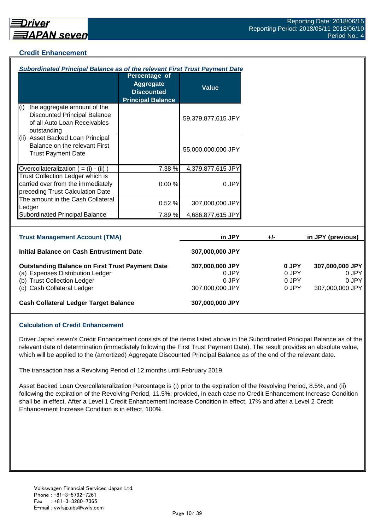## **Credit Enhancement**

| Subordinated Principal Balance as of the relevant First Trust Payment Date                                                                              |                                                                                    |                                                      |                                  |                                                      |
|---------------------------------------------------------------------------------------------------------------------------------------------------------|------------------------------------------------------------------------------------|------------------------------------------------------|----------------------------------|------------------------------------------------------|
|                                                                                                                                                         | Percentage of<br><b>Aggregate</b><br><b>Discounted</b><br><b>Principal Balance</b> | <b>Value</b>                                         |                                  |                                                      |
| the aggregate amount of the<br>(i)<br><b>Discounted Principal Balance</b><br>of all Auto Loan Receivables<br>outstanding                                |                                                                                    | 59,379,877,615 JPY                                   |                                  |                                                      |
| (ii) Asset Backed Loan Principal<br>Balance on the relevant First<br><b>Trust Payment Date</b>                                                          |                                                                                    | 55,000,000,000 JPY                                   |                                  |                                                      |
| Overcollateralization $( = (i) - (ii))$                                                                                                                 | 7.38 %                                                                             | 4,379,877,615 JPY                                    |                                  |                                                      |
| <b>Trust Collection Ledger which is</b><br>carried over from the immediately<br>preceding Trust Calculation Date                                        | 0.00%                                                                              | 0 JPY                                                |                                  |                                                      |
| The amount in the Cash Collateral<br>Ledger                                                                                                             | 0.52%                                                                              | 307,000,000 JPY                                      |                                  |                                                      |
| <b>Subordinated Principal Balance</b>                                                                                                                   | 7.89%                                                                              | 4,686,877,615 JPY                                    |                                  |                                                      |
| <b>Trust Management Account (TMA)</b>                                                                                                                   |                                                                                    | in JPY                                               | $+/-$                            | in JPY (previous)                                    |
| <b>Initial Balance on Cash Entrustment Date</b>                                                                                                         |                                                                                    | 307,000,000 JPY                                      |                                  |                                                      |
| <b>Outstanding Balance on First Trust Payment Date</b><br>(a) Expenses Distribution Ledger<br>(b) Trust Collection Ledger<br>(c) Cash Collateral Ledger |                                                                                    | 307,000,000 JPY<br>0 JPY<br>0 JPY<br>307,000,000 JPY | 0 JPY<br>0 JPY<br>0 JPY<br>0 JPY | 307,000,000 JPY<br>0 JPY<br>0 JPY<br>307,000,000 JPY |
| <b>Cash Collateral Ledger Target Balance</b>                                                                                                            |                                                                                    | 307,000,000 JPY                                      |                                  |                                                      |

#### **Calculation of Credit Enhancement**

Driver Japan seven's Credit Enhancement consists of the items listed above in the Subordinated Principal Balance as of the relevant date of determination (immediately following the First Trust Payment Date). The result provides an absolute value, which will be applied to the (amortized) Aggregate Discounted Principal Balance as of the end of the relevant date.

The transaction has a Revolving Period of 12 months until February 2019.

Asset Backed Loan Overcollateralization Percentage is (i) prior to the expiration of the Revolving Period, 8.5%, and (ii) following the expiration of the Revolving Period, 11.5%; provided, in each case no Credit Enhancement Increase Condition shall be in effect. After a Level 1 Credit Enhancement Increase Condition in effect, 17% and after a Level 2 Credit Enhancement Increase Condition is in effect, 100%.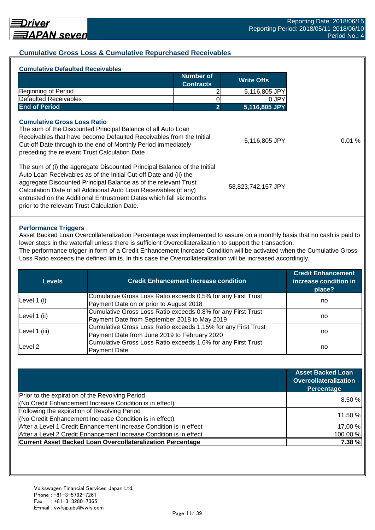## **Cumulative Gross Loss & Cumulative Repurchased Receivables**

| Number of<br><b>Write Offs</b><br><b>Contracts</b><br><b>Beginning of Period</b><br><b>Defaulted Receivables</b><br><b>End of Period</b><br>2<br><b>Cumulative Gross Loss Ratio</b><br>The sum of the Discounted Principal Balance of all Auto Loan<br>Receivables that have become Defaulted Receivables from the Initial<br>Cut-off Date through to the end of Monthly Period immediately<br>preceding the relevant Trust Calculation Date<br>The sum of (i) the aggregate Discounted Principal Balance of the Initial<br>Auto Loan Receivables as of the Initial Cut-off Date and (ii) the | <b>Cumulative Defaulted Receivables</b>                         |                    |
|-----------------------------------------------------------------------------------------------------------------------------------------------------------------------------------------------------------------------------------------------------------------------------------------------------------------------------------------------------------------------------------------------------------------------------------------------------------------------------------------------------------------------------------------------------------------------------------------------|-----------------------------------------------------------------|--------------------|
|                                                                                                                                                                                                                                                                                                                                                                                                                                                                                                                                                                                               |                                                                 |                    |
|                                                                                                                                                                                                                                                                                                                                                                                                                                                                                                                                                                                               |                                                                 | 5,116,805 JPY      |
|                                                                                                                                                                                                                                                                                                                                                                                                                                                                                                                                                                                               |                                                                 | 0 JPY              |
|                                                                                                                                                                                                                                                                                                                                                                                                                                                                                                                                                                                               |                                                                 | 5,116,805 JPY      |
|                                                                                                                                                                                                                                                                                                                                                                                                                                                                                                                                                                                               |                                                                 | 5,116,805 JPY      |
| Calculation Date of all Additional Auto Loan Receivables (if any)<br>entrusted on the Additional Entrustment Dates which fall six months<br>prior to the relevant Trust Calculation Date.                                                                                                                                                                                                                                                                                                                                                                                                     | aggregate Discounted Principal Balance as of the relevant Trust | 58,823,742,157 JPY |

#### **Performance Triggers**

Asset Backed Loan Overcollateralization Percentage was implemented to assure on a monthly basis that no cash is paid to lower steps in the waterfall unless there is sufficient Overcollateralization to support the transaction. The performance trigger in form of a Credit Enhancement Increase Condition will be activated when the Cumulative Gross

Loss Ratio exceeds the defined limits. In this case the Overcollateralization will be increased accordingly.

| Levels        | <b>Credit Enhancement increase condition</b>                  | <b>Credit Enhancement</b><br>increase condition in<br>place? |
|---------------|---------------------------------------------------------------|--------------------------------------------------------------|
|               | Cumulative Gross Loss Ratio exceeds 0.5% for any First Trust  |                                                              |
| Level 1 (i)   | Payment Date on or prior to August 2018                       | no                                                           |
|               | Cumulative Gross Loss Ratio exceeds 0.8% for any First Trust  |                                                              |
| Level 1 (ii)  | Payment Date from September 2018 to May 2019                  | no                                                           |
|               | Cumulative Gross Loss Ratio exceeds 1.15% for any First Trust |                                                              |
| Level 1 (iii) | Payment Date from June 2019 to February 2020                  | no                                                           |
| Level 2       | Cumulative Gross Loss Ratio exceeds 1.6% for any First Trust  |                                                              |
|               | <b>Payment Date</b>                                           | no                                                           |

|                                                                    | <b>Asset Backed Loan</b><br>Overcollateralization<br>Percentage |
|--------------------------------------------------------------------|-----------------------------------------------------------------|
| Prior to the expiration of the Revolving Period                    | 8.50%                                                           |
| (No Credit Enhancement Increase Condition is in effect)            |                                                                 |
| Following the expiration of Revolving Period                       |                                                                 |
| (No Credit Enhancement Increase Condition is in effect)            | 11.50 %                                                         |
| After a Level 1 Credit Enhancement Increase Condition is in effect | 17.00 %                                                         |
| After a Level 2 Credit Enhancement Increase Condition is in effect | 100.00%                                                         |
| <b>Current Asset Backed Loan Overcollateralization Percentage</b>  | 7.38%                                                           |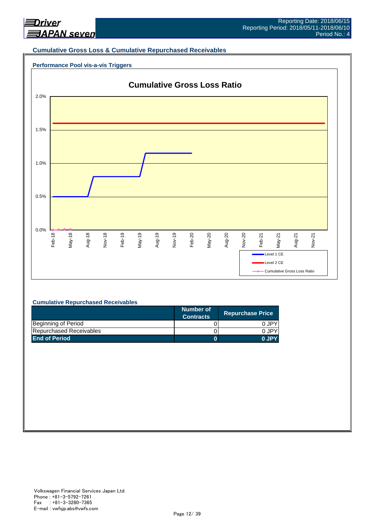

#### **Cumulative Gross Loss & Cumulative Repurchased Receivables**





#### **Cumulative Repurchased Receivables**

|                         | Number of<br><b>Contracts</b> | <b>Repurchase Price</b> |
|-------------------------|-------------------------------|-------------------------|
| Beginning of Period     |                               | 0 JPY                   |
| Repurchased Receivables |                               | 0.JPY                   |
| <b>End of Period</b>    |                               | 0 JPY                   |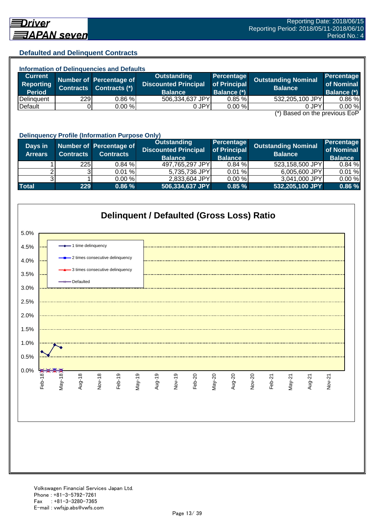## **Defaulted and Delinquent Contracts**

| <b>Information of Delinguencies and Defaults</b> |                  |                         |                                               |                             |                            |                                 |
|--------------------------------------------------|------------------|-------------------------|-----------------------------------------------|-----------------------------|----------------------------|---------------------------------|
| <b>Current</b>                                   |                  | Number of Percentage of | Outstanding                                   | Percentage                  | <b>Outstanding Nominal</b> | <b>Percentage</b><br>of Nominal |
| <b>Reporting</b><br><b>Period</b>                | <b>Contracts</b> | Contracts (*)           | <b>Discounted Principal</b><br><b>Balance</b> | of Principal<br>Balance (*) | <b>Balance</b>             | <b>Balance (*)</b>              |
| Delinquent                                       | 229              | $0.86 \%$               | 506,334,637 JPY                               | 0.85%                       | 532,205,100 JPY            | 0.86 %                          |
| Default                                          |                  | 0.00 %                  | 0 JPY                                         | 0.00%                       | 0 JPY<br>$\sim$<br>.       | 0.00%                           |

(\*) Based on the previous EoP

|                           | <b>Delinquency Profile (Information Purpose Only)</b> |                                             |                                                                     |                                                     |                                              |                                                   |  |  |
|---------------------------|-------------------------------------------------------|---------------------------------------------|---------------------------------------------------------------------|-----------------------------------------------------|----------------------------------------------|---------------------------------------------------|--|--|
| Days in<br><b>Arrears</b> | <b>Contracts</b>                                      | Number of Percentage of<br><b>Contracts</b> | <b>Outstanding</b><br><b>Discounted Principal</b><br><b>Balance</b> | <b>Percentage</b><br>of Principal<br><b>Balance</b> | <b>Outstanding Nominal</b><br><b>Balance</b> | <b>Percentage</b><br>of Nominal<br><b>Balance</b> |  |  |
|                           | 225                                                   | 0.84%                                       | 497,765,297 JPY                                                     | 0.84%                                               | 523,158,500 JPY                              | 0.84%                                             |  |  |
|                           |                                                       | 0.01%                                       | 5,735,736 JPY                                                       | 0.01%                                               | 6,005,600 JPY                                | 0.01%                                             |  |  |
|                           |                                                       | 0.00 %                                      | 2,833,604 JPY                                                       | 0.00 %                                              | 3,041,000 JPY                                | 0.00%                                             |  |  |
| <b>Total</b>              | 229                                                   | 0.86%                                       | 506,334,637 JPY                                                     | 0.85%                                               | 532,205,100 JPY                              | 0.86 %                                            |  |  |

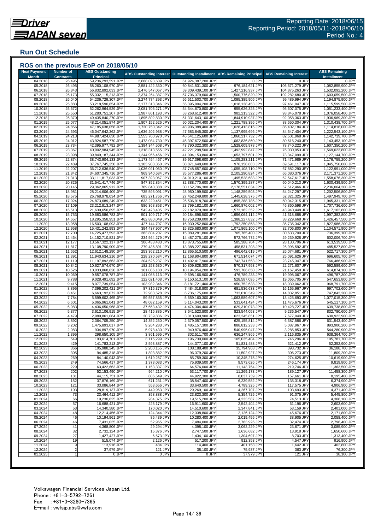## **Run Out Schedule**

| <b>Next Payment</b><br><b>Month</b> | <b>Number of</b><br><b>Contracts</b> | <b>ABS Outstanding</b><br><b>Principal</b> |                                        | ABS Outstanding Interest Outstanding Installment | <b>ABS Remaining Principal</b>         | <b>ABS Remaining Interest</b>    | <b>ABS Remaining</b><br><b>Installment</b> |
|-------------------------------------|--------------------------------------|--------------------------------------------|----------------------------------------|--------------------------------------------------|----------------------------------------|----------------------------------|--------------------------------------------|
| 04.2018                             | 26,495                               | 59,236,293,591 JPY                         | 2,688,093,609 JPY                      | 61,924,387,200 JPY                               | 0 JPY                                  | 0 JPY                            | 0 JPY                                      |
| 05.2018                             | 26,495                               | 58,260,108,970 JPY                         | 2,581,422,330 JPY                      | 60,841,531,300 JPY                               | 976,184,621 JPY                        | 106,671,279 JPY                  | 1,082,855,900 JPY                          |
| 06.2018                             | 26,343                               | 56,832,892,033 JPY                         | 2,476,547,067 JPY                      | 59,309,439,100 JPY                               | 1,427,216,937 JPY                      | 104,875,263 JPY                  | 1,532,092,200 JPY                          |
| 07.2018                             | 26,173                               | 55,332,115,213 JPY                         | 2,374,264,387 JPY                      | 57,706,379,600 JPY                               | 1,500,776,820 JPY                      | 102,282,680 JPY                  | 1,603,059,500 JPY                          |
| 08.2018                             | 26,040                               | 54,236,729,307 JPY                         | 2,274,774,393 JPY                      | 56,511,503,700 JPY                               | 1,095,385,906 JPY                      | 99,489,994 JPY                   | 1,194,875,900 JPY                          |
| 09.2018<br>10.2018                  | 25,883<br>25,672                     | 53,218,590,854 JPY<br>52,262,964,529 JPY   | 2,177,313,346 JPY<br>2,081,706,271 JPY | 55,395,904,200 JPY<br>54,344,670,800 JPY         | 1,018,138,453 JPY<br>955,626,325 JPY   | 97,461,047 JPY<br>95,607,075 JPY | 1,115,599,500 JPY<br>1,051,233,400 JPY     |
| 11.2018                             | 25,550                               | 51,280,751,207 JPY                         | 1,987,861,193 JPY                      | 53,268,612,400 JPY                               | 982,213,322 JPY                        | 93,845,078 JPY                   | 1,076,058,400 JPY                          |
| 12.2018                             | 25,370                               | 49,435,840,270 JPY                         | 1,895,802,830 JPY                      | 51,331,643,100 JPY                               | 1,844,910,937 JPY                      | 92,058,363 JPY                   | 1,936,969,300 JPY                          |
| 01.2019                             | 25,077                               | 48,214,051,874 JPY                         | 1,807,152,526 JPY                      | 50,021,204,400 JPY                               | 1,221,788,396 JPY                      | 88,650,304 JPY                   | 1,310,438,700 JPY                          |
| 02.2019                             | 24,856                               | 47,185,638,058 JPY                         | 1,720,750,342 JPY                      | 48,906,388,400 JPY                               | 1,028,413,816 JPY                      | 86,402,184 JPY                   | 1,114,816,000 JPY                          |
| 03.2019                             | 24,593                               | 46,047,642,362 JPY                         | 1,636,202,938 JPY                      | 47,683,845,300 JPY                               | 1,137,995,696 JPY                      | 84,547,404 JPY                   | 1,222,543,100 JPY                          |
| 04.2019                             | 24,213                               | 44,987,424,630 JPY                         | 1,553,700,970 JPY                      | 46,541,125,600 JPY                               | 1,060,217,732 JPY                      | 82,501,968 JPY                   | 1,142,719,700 JPY                          |
| 05.2019                             | 24,012                               | 43,924,587,770 JPY                         | 1,473,084,730 JPY                      | 45,397,672,500 JPY                               | 1,062,836,860 JPY                      | 80,616,240 JPY                   | 1,143,453,100 JPY                          |
| 06.2019<br>07.2019                  | 23,734<br>23,367                     | 42,395,977,792 JPY<br>40,902,984,945 JPY   | 1,394,344,508 JPY<br>1,318,313,555 JPY | 43,790,322,300 JPY<br>42,221,298,500 JPY         | 1,528,609,978 JPY<br>1,492,992,847 JPY | 78,740,222 JPY<br>76,030,953 JPY | 1,607,350,200 JPY<br>1,569,023,800 JPY     |
| 08.2019                             | 23,098                               | 39,849,187,344 JPY                         | 1,244,966,456 JPY                      | 41,094,153,800 JPY                               | 1,053,797,601 JPY                      | 73,347,099 JPY                   | 1,127,144,700 JPY                          |
| 09.2019                             | 22,874                               | 38,743,904,133 JPY                         | 1,173,494,467 JPY                      | 39,917,398,600 JPY                               | 1,105,283,211 JPY                      | 71,471,989 JPY                   | 1,176,755,200 JPY                          |
| 10.2019                             | 22,489                               | 37,767,745,250 JPY                         | 1,103,903,350 JPY                      | 38,871,648,600 JPY                               | 976,158,883 JPY                        | 69,591,117 JPY                   | 1,045,750,000 JPY                          |
| 11.2019                             | 22,207                               | 36,712,636,540 JPY                         | 1,036,021,060 JPY                      | 37,748,657,600 JPY                               | 1,055,108,710 JPY                      | 67,882,290 JPY                   | 1,122,991,000 JPY                          |
| 12.2019                             | 21,842                               | 34,607,345,716 JPY                         | 969,940,684 JPY                        | 35,577,286,400 JPY                               | 2,105,290,824 JPY                      | 66,080,376 JPY                   | 2,171,371,200 JPY                          |
| 01.2020                             | 21,313                               | 33,111,817,033 JPY                         | 907,393,067 JPY                        | 34,019,210,100 JPY                               | 1,495,528,683 JPY                      | 62,547,617 JPY                   | 1,558,076,300 JPY                          |
| 02.2020                             | 20,825                               | 31,541,417,746 JPY                         | 847,352,854 JPY                        | 32,388,770,600 JPY                               | 1,570,399,287 JPY                      | 60,040,213 JPY                   | 1,630,439,500 JPY                          |
| 03.2020                             | 20,145                               | 29,362,865,912 JPY                         | 789,840,388 JPY                        | 30,152,706,300 JPY                               | 2,178,551,834 JPY                      | 57,512,466 JPY                   | 2,236,064,300 JPY                          |
| 04.2020                             | 18,981                               | 28,214,606,409 JPY                         | 735,593,091 JPY                        | 28,950,199,500 JPY                               | 1,148,259,503 JPY                      | 54,247,297 JPY                   | 1,202,506,800 JPY                          |
| 05.2020<br>06.2020                  | 18,575<br>17,924                     | 26,768,978,034 JPY<br>24,873,689,249 JPY   | 683,271,766 JPY<br>633,229,451 JPY     | 27,452,249,800 JPY<br>25,506,918,700 JPY         | 1,445,628,375 JPY<br>1,895,288,785 JPY | 52,321,325 JPY<br>50,042,315 JPY | 1,497,949,700 JPY<br>1,945,331,100 JPY     |
| 07.2020                             | 17,109                               | 23,212,813,247 JPY                         | 586,368,853 JPY                        | 23,799,182,100 JPY                               | 1,660,876,002 JPY                      | 46,860,598 JPY                   | 1,707,736,600 JPY                          |
| 08.2020                             | 16,513                               | 21,639,650,895 JPY                         | 542,428,405 JPY                        | 22,182,079,300 JPY                               | 1,573,162,352 JPY                      | 43,940,448 JPY                   | 1,617,102,800 JPY                          |
| 09.2020                             | 15,753                               | 19,683,586,783 JPY                         | 501,109,717 JPY                        | 20,184,696,500 JPY                               | 1,956,064,112 JPY                      | 41,318,688 JPY                   | 1,997,382,800 JPY                          |
| 10.2020                             | 14,657                               | 18,295,358,951 JPY                         | 462,880,049 JPY                        | 18,758,239,000 JPY                               | 1,388,227,832 JPY                      | 38,229,668 JPY                   | 1,426,457,500 JPY                          |
| 11.2020                             | 13,958                               | 16,503,108,093 JPY                         | 427,144,707 JPY                        | 16,930,252,800 JPY                               | 1,792,250,858 JPY                      | 35,735,342 JPY                   | 1,827,986,200 JPY                          |
| 12.2020                             | 12,958                               | 15,431,242,993 JPY                         | 394,437,907 JPY                        | 15,825,680,900 JPY                               | 1,071,865,100 JPY                      | 32,706,800 JPY                   | 1,104,571,900 JPY                          |
| 01.2021                             | 12,700                               | 14,725,477,593 JPY                         | 363,804,207 JPY                        | 15,089,281,800 JPY                               | 705,765,400 JPY                        | 30,633,700 JPY                   | 736,399,100 JPY                            |
| 02.2021                             | 12,464                               | 14,152,710,821 JPY                         | 334,564,279 JPY                        | 14,487,275,100 JPY                               | 572,766,772 JPY                        | 29,239,928 JPY                   | 602,006,700 JPY                            |
| 03.2021                             | 12,177                               | 13,567,322,117 JPY                         | 306,433,483 JPY                        | 13,873,755,600 JPY                               | 585,388,704 JPY                        | 28,130,796 JPY                   | 613,519,500 JPY                            |
| 04.2021<br>05.2021                  | 11,817<br>11,652                     | 13,108,790,909 JPY<br>12,612,148,290 JPY   | 279,436,891 JPY<br>253,362,210 JPY     | 13,388,227,800 JPY<br>12,865,510,500 JPY         | 458,531,208 JPY<br>496,642,619 JPY     | 26,996,592 JPY<br>26,074,681 JPY | 485,527,800 JPY<br>522,717,300 JPY         |
| 06.2021                             | 11,391                               | 11,940,634,216 JPY                         | 228,270,584 JPY                        | 12,168,904,800 JPY                               | 671,514,074 JPY                        | 25,091,626 JPY                   | 696,605,700 JPY                            |
| 07.2021                             | 11,119                               | 11,197,892,663 JPY                         | 204,525,237 JPY                        | 11,402,417,900 JPY                               | 742,741,553 JPY                        | 23,745,347 JPY                   | 766,486,900 JPY                            |
| 08.2021                             | 10,842                               | 10,627,574,670 JPY                         | 182,253,630 JPY                        | 10,809,828,300 JPY                               | 570,317,993 JPY                        | 22,271,607 JPY                   | 592,589,600 JPY                            |
| 09.2021                             | 10,526                               | 10,033,868,020 JPY                         | 161,086,180 JPY                        | 10,194,954,200 JPY                               | 593,706,650 JPY                        | 21,167,450 JPY                   | 614,874,100 JPY                            |
| 10.2021                             | 10,069                               | 9,557,078,787 JPY                          | 141,088,113 JPY                        | 9,698,166,900 JPY                                | 476,789,233 JPY                        | 19,998,067 JPY                   | 496,787,300 JPY                            |
| 11.2021                             | 9,788                                | 9,028,491,692 JPY                          | 122,021,408 JPY                        | 9,150,513,100 JPY                                | 528,587,095 JPY                        | 19,066,705 JPY                   | 547,653,800 JPY                            |
| 12.2021                             | 9,415                                | 8,077,739,054 JPY                          | 103,982,346 JPY                        | 8,181,721,400 JPY                                | 950,752,638 JPY                        | 18,039,062 JPY                   | 968,791,700 JPY                            |
| 01.2022<br>02.2022                  | 8,895<br>8,451                       | 7,396,202,421 JPY<br>6,663,192,072 JPY     | 87,816,379 JPY<br>72,983,528 JPY       | 7,484,018,800 JPY<br>6,736,175,600 JPY           | 681,536,633 JPY<br>733,010,349 JPY     | 16,165,967 JPY<br>14,832,851 JPY | 697,702,600 JPY<br>747,843,200 JPY         |
| 03.2022                             | 7,784                                | 5,599,602,465 JPY                          | 59,557,835 JPY                         | 5,659,160,300 JPY                                | 1,063,589,607 JPY                      | 13,425,693 JPY                   | 1,077,015,300 JPY                          |
| 04.2022                             | 6,601                                | 5,065,961,041 JPY                          | 48,082,159 JPY                         | 5,114,043,200 JPY                                | 533,641,424 JPY                        | 11,475,676 JPY                   | 545,117,100 JPY                            |
| 05.2022                             | 6,083                                | 4,436,650,968 JPY                          | 37,653,432 JPY                         | 4,474,304,400 JPY                                | 629,310,073 JPY                        | 10,428,727 JPY                   | 639,738,800 JPY                            |
| 06.2022                             | 5,377                                | 3,613,106,915 JPY                          | 28,416,885 JPY                         | 3,641,523,800 JPY                                | 823,544,053 JPY                        | 9,236,547 JPY                    | 832,780,600 JPY                            |
| 07.2022                             | 4,479                                | 2,989,861,064 JPY                          | 20,739,836 JPY                         | 3,010,600,900 JPY                                | 623,245,851 JPY                        | 7,677,049 JPY                    | 630,922,900 JPY                            |
| 08.2022                             | 3,892                                | 2,364,705,250 JPY                          | 14,352,250 JPY                         | 2,379,057,500 JPY                                | 625,155,814 JPY                        | 6,387,586 JPY                    | 631,543,400 JPY                            |
| 09.2022                             | 3,202                                | 1,475,893,017 JPY                          | 9,264,283 JPY                          | 1,485,157,300 JPY                                | 888,812,233 JPY                        | 5,087,967 JPY                    | 893,900,200 JPY                            |
| 10.2022                             | 2,083                                | 934,897,970 JPY                            | 5,978,430 JPY                          | 940,876,400 JPY                                  | 540,995,047 JPY                        | 3,285,853 JPY                    | 544,280,900 JPY                            |
| 11.2022                             | 1,395                                | 298,650,105 JPY                            | 3,861,595 JPY                          | 302,511,700 JPY                                  | 636,247,865 JPY                        | 2,116,835 JPY                    | 638,364,700 JPY                            |
| 12.2022<br>01.2023                  | 549<br>429                           | 193,614,701 JPY<br>141,783,213 JPY         | 3,115,299 JPY<br>2,593,887 JPY         | 196,730,000 JPY<br>144,377,100 JPY               | 105,035,404 JPY<br>51,831,488 JPY      | 746,296 JPY<br>521,412 JPY       | 105,781,700 JPY<br>52,352,900 JPY          |
| 02.2023                             | 366                                  | 105,988,245 JPY                            | 2,200,155 JPY                          | 108,188,400 JPY                                  | 35,794,968 JPY                         | 393,732 JPY                      | 36,188,700 JPY                             |
| 03.2023                             | 305                                  | 94,485,318 JPY                             | 1,893,882 JPY                          | 96,379,200 JPY                                   | 11,502,927 JPY                         | 306,273 JPY                      | 11,809,200 JPY                             |
| 04.2023                             | 269                                  | 84,140,043 JPY                             | 1,619,257 JPY                          | 85,759,300 JPY                                   | 10,345,275 JPY                         | 274,625 JPY                      | 10,619,900 JPY                             |
| 05.2023                             | 249                                  | 74,566,417 JPY                             | 1,373,083 JPY                          | 75,939,500 JPY                                   | 9,573,626 JPY                          | 246,174 JPY                      | 9,819,800 JPY                              |
| 06.2023                             | 229                                  | 63,422,663 JPY                             | 1,153,337 JPY                          | 64,576,000 JPY                                   | 11,143,754 JPY                         | 219,746 JPY                      | 11,363,500 JPY                             |
| 07.2023                             | 202                                  | 52,153,490 JPY                             | 964,210 JPY                            | 53,117,700 JPY                                   | 11,269,173 JPY                         | 189,127 JPY                      | 11,458,300 JPY                             |
| 08.2023                             | 181                                  | 44,115,751 JPY                             | 806,549 JPY                            | 44,922,300 JPY                                   | 8,037,739 JPY                          | 157,661 JPY                      | 8,195,400 JPY                              |
| 09.2023                             | 152                                  | 37,876,169 JPY                             | 671,231 JPY                            | 38,547,400 JPY                                   | 6,239,582 JPY                          | 135,318 JPY                      | 6,374,900 JPY                              |
| 10.2023                             | 121                                  | 33,086,844 JPY<br>28,819,137 JPY           | 553,656 JPY                            | 33,640,500 JPY                                   | 4,789,325 JPY<br>4,267,707 JPY         | 117,575 JPY                      | 4,906,900 JPY<br>4,371,400 JPY             |
| 11.2023<br>12.2023                  | 103<br>73                            | 23,464,412 JPY                             | 449,963 JPY<br>358,888 JPY             | 29,269,100 JPY<br>23,823,300 JPY                 | 5,354,725 JPY                          | 103,693 JPY<br>91,075 JPY        | 5,445,800 JPY                              |
| 01.2024                             | 66                                   | 19,230,825 JPY                             | 284,375 JPY                            | 19,515,200 JPY                                   | 4,233,587 JPY                          | 74,513 JPY                       | 4,308,100 JPY                              |
| 02.2024                             | 57                                   | 16,688,421 JPY                             | 223,179 JPY                            | 16,911,600 JPY                                   | 2,542,404 JPY                          | 61,196 JPY                       | 2,603,600 JPY                              |
| 03.2024                             | 53                                   | 14,340,580 JPY                             | 170,020 JPY                            | 14,510,600 JPY                                   | 2,347,841 JPY                          | 53,159 JPY                       | 2,401,000 JPY                              |
| 04.2024                             | 48                                   | 12,214,456 JPY                             | 124,344 JPY                            | 12,338,800 JPY                                   | 2,126,124 JPY                          | 45,676 JPY                       | 2,171,800 JPY                              |
| 05.2024                             | 46                                   | 10,194,961 JPY                             | 85,439 JPY                             | 10,280,400 JPY                                   | 2,019,495 JPY                          | 38,905 JPY                       | 2,058,400 JPY                              |
| 06.2024                             | 46                                   | 7,431,035 JPY                              | 52,965 JPY                             | 7,484,000 JPY                                    | 2,763,926 JPY                          | 32,474 JPY                       | 2,796,400 JPY                              |
| 07.2024                             | 41                                   | 4,368,806 JPY                              | 29,294 JPY                             | 4,398,100 JPY                                    | 3,062,229 JPY                          | 23,671 JPY                       | 3,085,900 JPY                              |
| 08.2024                             | 32                                   | 2,732,124 JPY                              | 15,376 JPY                             | 2,747,500 JPY                                    | 1,636,682 JPY                          | 13,918 JPY                       | 1,650,600 JPY                              |
| 09.2024                             | 27                                   | 1,427,427 JPY                              | 6,673 JPY                              | 1,434,100 JPY                                    | 1,304,697 JPY                          | 8,703 JPY                        | 1,313,400 JPY                              |
| 10.2024                             | 19                                   | 515,074 JPY                                | 2,126 JPY                              | 517,200 JPY                                      | 912,353 JPY                            | 4,547 JPY                        | 916,900 JPY                                |
| 11.2024                             | 9<br>$\overline{2}$                  | 113,916 JPY<br>37,979 JPY                  | 484 JPY<br>121 JPY                     | 114,400 JPY<br>38,100 JPY                        | 401,158 JPY                            | 1,642 JPY                        | 402,800 JPY                                |
| 12.2024                             |                                      |                                            |                                        |                                                  | 75,937 JPY                             | 363 JPY                          | 76,300 JPY                                 |

###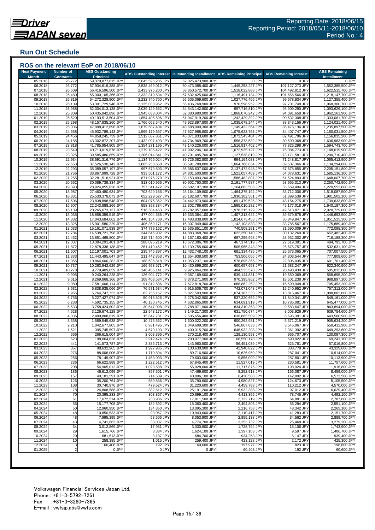## **Run Out Schedule**

| <b>Next Payment</b><br><b>Month</b> | <b>Number of</b><br><b>Contracts</b> | <b>ABS Outstanding</b><br><b>Principal</b> | <b>ABS Outstanding Interest</b>        | <b>Outstanding Installment</b>           | <b>ABS Remaining Principal</b>       | <b>ABS Remaining Interest</b>    | <b>ABS Remaining</b><br><b>Installment</b> |
|-------------------------------------|--------------------------------------|--------------------------------------------|----------------------------------------|------------------------------------------|--------------------------------------|----------------------------------|--------------------------------------------|
| 05.2018                             | 26,772                               | 59,379,877,615 JPY                         | 2,645,596,285 JPY                      | 62,025,473,900 JPY                       | 0 JPY                                | 0 JPY                            | 0 JPY                                      |
| 06.2018                             | 26,772                               | 57,934,619,388 JPY                         | 2,538,469,012 JPY                      | 60,473,088,400 JPY                       | 1,445,258,227 JPY                    | 107,127,273 JPY                  | 1,552,385,500 JPY                          |
| 07.2018                             | 26,609                               | 56,416,596,500 JPY                         | 2,433,976,200 JPY                      | 58,850,572,700 JPY                       | 1,518,022,888 JPY                    | 104,492,812 JPY                  | 1,622,515,700 JPY                          |
| 08.2018                             | 26,480                               | 55,300,105,366 JPY                         | 2,332,319,634 JPY                      | 57,632,425,000 JPY                       | 1,116,491,134 JPY                    | 101,656,566 JPY                  | 1,218,147,700 JPY                          |
| 09.2018                             | 26,319                               | 54,272,328,900 JPY                         | 2,232,740,700 JPY                      | 56,505,069,600 JPY                       | 1,027,776,466 JPY                    | 99,578,934 JPY                   | 1,127,355,400 JPY                          |
| 10.2018<br>11.2018                  | 26,109<br>25,988                     | 53,301,729,948 JPY<br>52,304,013,138 JPY   | 2,135,038,952 JPY<br>2,039,129,662 JPY | 55,436,768,900 JPY<br>54,343,142,800 JPY | 970,598,952 JPY<br>997,716,810 JPY   | 97,701,748 JPY<br>95,909,290 JPY | 1,068,300,700 JPY<br>1,093,626,100 JPY     |
| 12.2018                             | 25,809                               | 50,435,942,896 JPY                         | 1,945,038,004 JPY                      | 52,380,980,900 JPY                       | 1,868,070,242 JPY                    | 94,091,658 JPY                   | 1,962,161,900 JPY                          |
| 01.2019                             | 25,520                               | 49,193,513,504 JPY                         | 1,854,405,696 JPY                      | 51,047,919,200 JPY                       | 1,242,429,392 JPY                    | 90,632,308 JPY                   | 1,333,061,700 JPY                          |
| 02.2019                             | 25,298                               | 48,157,835,260 JPY                         | 1,766,062,540 JPY                      | 49,923,897,800 JPY                       | 1,035,678,244 JPY                    | 88,343,156 JPY                   | 1,124,021,400 JPY                          |
| 03.2019                             | 25,036                               | 47,008,412,896 JPY                         | 1,679,587,404 JPY                      | 48,688,000,300 JPY                       | 1,149,422,364 JPY                    | 86,475,136 JPY                   | 1,235,897,500 JPY                          |
| 04.2019                             | 24,658                               | 45,932,789,143 JPY                         | 1,595,179,657 JPY                      | 47,527,968,800 JPY                       | 1,075,623,753 JPY                    | 84,407,747 JPY                   | 1,160,031,500 JPY                          |
| 05.2019                             | 24,456                               | 44,859,245,739 JPY                         | 1,512,687,861 JPY                      | 46,371,933,600 JPY                       | 1,073,543,404 JPY                    | 82,491,796 JPY                   | 1,156,035,200 JPY                          |
| 06.2019                             | 24,185                               | 43,302,872,207 JPY                         | 1,432,097,493 JPY                      | 44,734,969,700 JPY                       | 1,556,373,532 JPY                    | 80,590,368 JPY                   | 1,636,963,900 JPY                          |
| 07.2019                             | 23,818                               | 41,785,954,805 JPY                         | 1,354,271,195 JPY                      | 43,140,226,000 JPY                       | 1,516,917,402 JPY                    | 77,826,298 JPY                   | 1,594,743,700 JPY                          |
| 08.2019                             | 23,549                               | 40,713,019,678 JPY                         | 1,279,186,422 JPY                      | 41,992,206,100 JPY                       | 1,072,935,127 JPY                    | 75,084,773 JPY                   | 1,148,019,900 JPY                          |
| 09.2019                             | 23,325                               | 39,585,480,859 JPY                         | 1,206,014,841 JPY                      | 40.791.495.700 JPY                       | 1,127,538,819 JPY                    | 73,171,581 JPY                   | 1,200,710,400 JPY                          |
| 10.2019<br>11.2019                  | 22,934<br>22,653                     | 38,591,316,776 JPY<br>37,526,530,142 JPY   | 1,134,766,024 JPY<br>1,065,258,658 JPY | 39,726,082,800 JPY<br>38,591,788,800 JPY | 994,164,083 JPY<br>1,064,786,634 JPY | 71,248,817 JPY<br>69,507,366 JPY | 1,065,412,900 JPY<br>1,134,294,000 JPY     |
| 12.2019                             | 22,293                               | 35,389,057,197 JPY                         | 997,579,803 JPY                        | 36,386,637,000 JPY                       | 2,137,472,945 JPY                    | 67,678,855 JPY                   | 2,205,151,800 JPY                          |
| 01.2020                             | 21,756                               | 33,867,999,728 JPY                         | 933,501,172 JPY                        | 34,801,500,900 JPY                       | 1,521,057,469 JPY                    | 64,078,631 JPY                   | 1,585,136,100 JPY                          |
| 02.2020                             | 21,255                               | 32,281,516,921 JPY                         | 871,976,279 JPY                        | 33,153,493,200 JPY                       | 1,586,482,807 JPY                    | 61,524,893 JPY                   | 1,648,007,700 JPY                          |
| 03.2020                             | 20,562                               | 30,089,739,334 JPY                         | 813,010,966 JPY                        | 30,902,750,300 JPY                       | 2,191,777,587 JPY                    | 58,965,313 JPY                   | 2,250,742,900 JPY                          |
| 04.2020                             | 19,393                               | 28,924,855,828 JPY                         | 757,341,472 JPY                        | 29,682,197,300 JPY                       | 1,164,883,506 JPY                    | 55,669,494 JPY                   | 1,220,553,000 JPY                          |
| 05.2020                             | 18,987                               | 27,460,480,634 JPY                         | 703,629,166 JPY                        | 28,164,109,800 JPY                       | 1,464,375,194 JPY                    | 53,712,306 JPY                   | 1,518,087,500 JPY                          |
| 06.2020                             | 18,331                               | 25,530,378,073 JPY                         | 652,229,627 JPY                        | 26,182,607,700 JPY                       | 1,930,102,561 JPY                    | 51,399,539 JPY                   | 1,981,502,100 JPY                          |
| 07.2020                             | 17,506                               | 23,838,898,548 JPY                         | 604,075,352 JPY                        | 24,442,973,900 JPY                       | 1,691,479,525 JPY                    | 48,154,275 JPY                   | 1,739,633,800 JPY                          |
| 08.2020                             | 16,907                               | 22,243,888,266 JPY                         | 558,898,334 JPY                        | 22,802,786,600 JPY                       | 1,595,010,282 JPY                    | 45,177,018 JPY                   | 1,640,187,300 JPY                          |
| 09.2020                             | 16,139                               | 20,265,673,137 JPY                         | 516,384,463 JPY                        | 20,782,057,600 JPY                       | 1,978,215,129 JPY                    | 42,513,871 JPY                   | 2,020,729,000 JPY                          |
| 10.2020                             | 15,035                               | 18,858,359,515 JPY                         | 477,004,585 JPY                        | 19,335,364,100 JPY                       | 1,407,313,622 JPY                    | 39,379,878 JPY                   | 1,446,693,500 JPY                          |
| 11.2020                             | 14,332                               | 17,043,684,062 JPY                         | 440,154,738 JPY                        | 17,483,838,800 JPY                       | 1,814,675,453 JPY                    | 36,849,847 JPY                   | 1,851,525,300 JPY                          |
| 12.2020                             | 13,325                               | 15,901,580,229 JPY                         | 406,369,171 JPY                        | 16,307,949,400 JPY                       | 1,142,103,833 JPY                    | 33,785,567 JPY                   | 1,175,889,400 JPY                          |
| 01.2021                             | 13,033                               | 15,161,071,938 JPY                         | 374,779,162 JPY                        | 15,535,851,100 JPY                       | 740,508,291 JPY                      | 31,590,009 JPY                   | 772,098,300 JPY                            |
| 02.2021                             | 12,784                               | 14,538,721,798 JPY<br>13,851,465,800 JPY   | 344,646,902 JPY                        | 14,883,368,700 JPY                       | 622,350,140 JPY<br>687,255,998 JPY   | 30,132,260 JPY<br>28,932,302 JPY | 652,482,400 JPY                            |
| 03.2021<br>04.2021                  | 12,462                               | 13,384,291,481 JPY                         | 315,714,600 JPY<br>288,095,219 JPY     | 14,167,180,400 JPY                       |                                      |                                  | 716,188,300 JPY<br>494,793,700 JPY         |
| 05.2021                             | 12,037<br>11,872                     | 12,878,336,138 JPY                         | 261,419,462 JPY                        | 13,672,386,700 JPY<br>13,139,755,600 JPY | 467,174,319 JPY<br>505,955,343 JPY   | 27,619,381 JPY<br>26,675,757 JPY | 532,631,100 JPY                            |
| 06.2021                             | 11,607                               | 12,197,001,703 JPY                         | 235,746,397 JPY                        | 12,432,748,100 JPY                       | 681,334,435 JPY                      | 25,673,065 JPY                   | 707,007,500 JPY                            |
| 07.2021                             | 11,333                               | 11,443,495,647 JPY                         | 211,442,853 JPY                        | 11,654,938,500 JPY                       | 753,506,056 JPY                      | 24,303,544 JPY                   | 777,809,600 JPY                            |
| 08.2021                             | 11,055                               | 10,864,600,282 JPY                         | 188,636,818 JPY                        | 11,053,237,100 JPY                       | 578,895,365 JPY                      | 22,806,035 JPY                   | 601,701,400 JPY                            |
| 09.2021                             | 10,737                               | 10,263,942,629 JPY                         | 166,953,571 JPY                        | 10,430,896,200 JPY                       | 600,657,653 JPY                      | 21,683,247 JPY                   | 622,340,900 JPY                            |
| 10.2021                             | 10,278                               | 9,779,409,059 JPY                          | 146,455,141 JPY                        | 9,925,864,200 JPY                        | 484,533,570 JPY                      | 20,498,430 JPY                   | 505,032,000 JPY                            |
| 11.2021                             | 9,995                                | 9,240,264,228 JPY                          | 126,904,772 JPY                        | 9,367,169,000 JPY                        | 539,144,831 JPY                      | 19,550,369 JPY                   | 558,695,200 JPY                            |
| 12.2021                             | 9,615                                | 8,269,868,366 JPY                          | 108,403,534 JPY                        | 8,378,271,900 JPY                        | 970,395,862 JPY                      | 18,501,238 JPY                   | 988,897,100 JPY                            |
| 01.2022                             | 9,080                                | 7,581,006,114 JPY                          | 91,812,586 JPY                         | 7,672,818,700 JPY                        | 688,862,252 JPY                      | 16,590,948 JPY                   | 705,453,200 JPY                            |
| 02.2022                             | 8,631                                | 6,838,935,066 JPY                          | 76,571,634 JPY                         | 6,915,506,700 JPY                        | 742,071,048 JPY                      | 15,240,952 JPY                   | 757,312,000 JPY                            |
| 03.2022                             | 7,955                                | 5,764,747,733 JPY                          | 62,756,167 JPY                         | 5,827,503,900 JPY                        | 1,074,187,333 JPY                    | 13,815,467 JPY                   | 1,088,002,800 JPY                          |
| 04.2022<br>05.2022                  | 6,756<br>6,238                       | 5,227,427,074 JPY<br>4,592,735,155 JPY     | 50,915,826 JPY<br>40,130,745 JPY       | 5,278,342,900 JPY<br>4,632,865,900 JPY   | 537,320,659 JPY<br>634,691,919 JPY   | 11,840,341 JPY<br>10,785,081 JPY | 549,161,000 JPY<br>645,477,000 JPY         |
| 06.2022                             | 5,533                                | 3,758,424,802 JPY                          | 30,547,098 JPY                         | 3,788,971,900 JPY                        | 834,310,353 JPY                      | 9,583,647 JPY                    | 843,894,000 JPY                            |
| 07.2022                             | 4,628                                | 3,126,674,128 JPY                          | 22,543,172 JPY                         | 3,149,217,300 JPY                        | 631,750,674 JPY                      | 8,003,926 JPY                    | 639,754,600 JPY                            |
| 08.2022                             | 4,036                                | 2,489,808,619 JPY                          | 15,847,781 JPY                         | 2,505,656,400 JPY                        | 636,865,509 JPY                      | 6,695,391 JPY                    | 643,560,900 JPY                            |
| 09.202                              | 3,338                                | 1,589,545,638 JPY                          | 10,476,562 JPY                         | 1,600,022,200 JPY                        | 900,262,981 JPY                      | 5,371,219 JPY                    | 905,634,200 JPY                            |
| 10.2022                             | 2,210                                | 1,042,677,805 JPY                          | 6,931,495 JPY                          | 1,049,609,300 JPY                        | 546,867,833 JPY                      | 3,545,067 JPY                    | 550,412,900 JPY                            |
| 11.2022                             | 1,521                                | 395,745,597 JPY                            | 4,570,103 JPY                          | 400,315,700 JPY                          | 646,932,208 JPY                      | 2,361,392 JPY                    | 649,293,600 JPY                            |
| 12.2022                             | 666                                  | 266,615,004 JPY                            | 3,603,396 JPY                          | 270,218,400 JPY                          | 129,130,593 JPY                      | 966,707 JPY                      | 130,097,300 JPY                            |
| 01.2023                             | 523                                  | 198,064,826 JPY                            | 2,912,474 JPY                          | 200,977,300 JPY                          | 68,550,178 JPY                       | 690,922 JPY                      | 69,241,100 JPY                             |
| 02.2023                             | 441                                  | 141,573,787 JPY                            | 2,386,713 JPY                          | 143,960,500 JPY                          | 56,491,039 JPY                       | 525,761 JPY                      | 57,016,800 JPY                             |
| 03.2023                             | 357                                  | 98,632,965 JPY                             | 1,997,935 JPY                          | 100,630,900 JPY                          | 42,940,822 JPY                       | 388,778 JPY                      | 43,329,600 JPY                             |
| 04.2023                             | 276                                  | 88,006,006 JPY                             | 1,710,894 JPY                          | 89,716,900 JPY                           | 10,626,959 JPY                       | 287,041 JPY                      | 10,914,000 JPY                             |
| 05.2023                             | 256                                  | 78,149,907 JPY                             | 1,453,093 JPY                          | 79,603,000 JPY                           | 9,856,099 JPY                        | 257,801 JPY                      | 10,113,900 JPY                             |
| 06.2023                             | 236                                  | 66,622,888 JPY                             | 1,222,512 JPY                          | 67,845,400 JPY                           | 11,527,019 JPY                       | 230,581 JPY                      | 11,757,600 JPY                             |
| 07.2023                             | 208                                  | 54,905,012 JPY                             | 1,023,588 JPY                          | 55,928,600 JPY<br>47.469.600 JPY         | 11,717,876 JPY                       | 198,924 JPY<br>166,087 JPY       | 11,916,800 JPY                             |
| 08.2023<br>09.2023                  | 186<br>157                           | 46,612,099 JPY<br>40,181,591 JPY           | 857,501 JPY<br>714,509 JPY             | 40.896.100 JPY                           | 8,292,913 JPY<br>6,430,508 JPY       | 142,992 JPY                      | 8,459,000 JPY<br>6,573,500 JPY             |
| 10.2023                             | 126                                  | 35,200,764 JPY                             | 589,836 JPY                            | 35,790,600 JPY                           | 4,980,827 JPY                        | 124,673 JPY                      | 5,105,500 JPY                              |
| 11.2023                             | 108                                  | 30,740,976 JPY                             | 479,624 JPY                            | 31,220,600 JPY                           | 4,459,788 JPY                        | 110,212 JPY                      | 4,570,000 JPY                              |
| 12.2023                             | 78                                   | 24,808,588 JPY                             | 382,612 JPY                            | 25,191,200 JPY                           | 5,932,388 JPY                        | 97,012 JPY                       | 6,029,400 JPY                              |
| 01.2024                             | 70                                   | 20,395,233 JPY                             | 303,867 JPY                            | 20,699,100 JPY                           | 4,413,355 JPY                        | 78,745 JPY                       | 4,492,100 JPY                              |
| 02.2024                             | 61                                   | 17,672,514 JPY                             | 238,986 JPY                            | 17,911,500 JPY                           | 2,722,719 JPY                        | 64,881 JPY                       | 2,787,600 JPY                              |
| 03.2024                             | 56                                   | 15,177,708 JPY                             | 182,692 JPY                            | 15,360,400 JPY                           | 2,494,806 JPY                        | 56,294 JPY                       | 2,551,100 JPY                              |
| 04.2024                             | 50                                   | 12,960,950 JPY                             | 134,350 JPY                            | 13,095,300 JPY                           | 2,216,758 JPY                        | 48,342 JPY                       | 2,265,100 JPY                              |
| 05.2024                             | 48                                   | 10,850,533 JPY                             | 93.067 JPY                             | 10,943,600 JPY                           | 2.110.417 JPY                        | 41,283 JPY                       | 2,151,700 JPY                              |
| 06.2024                             | 48                                   | 7,995,395 JPY                              | 58,505 JPY                             | 8,053,900 JPY                            | 2,855,138 JPY                        | 34,562 JPY                       | 2,889,700 JPY                              |
| 07.2024                             | 43                                   | 4,741,663 JPY                              | 33,037 JPY                             | 4.774.700 JPY                            | 3,253,732 JPY                        | 25,468 JPY                       | 3,279,200 JPY                              |
| 08.2024                             | 34                                   | 3,012,869 JPY                              | 17,931 JPY                             | 3,030,800 JPY                            | 1.728.794 JPY                        | 15,106 JPY                       | 1,743,900 JPY                              |
| 09.2024                             | 29                                   | 1,615,766 JPY                              | 8,334 JPY                              | 1,624,100 JPY                            | 1,397,103 JPY                        | 9,597 JPY                        | 1,406,700 JPY                              |
| 10.2024                             | 20                                   | 681,513 JPY                                | 3,187 JPY                              | 684,700 JPY                              | 934,253 JPY                          | 5,147 JPY                        | 939,400 JPY                                |
| 11.2024                             | 10                                   | 258,385 JPY                                | 1,015 JPY                              | 259,400 JPY                              | 423,128 JPY                          | 2,172 JPY                        | 425,300 JPY                                |
| 12.2024<br>01.2025                  | 3                                    | 60,408 JPY                                 | 192 JPY                                | 60,600 JPY                               | 197,977 JPY                          | 823 JPY                          | 198,800 JPY                                |
|                                     | $\overline{2}$                       | 0 JPY                                      | 0 JPY                                  | 0 JPY                                    | 60,408 JPY                           | 192 JPY                          | 60,600 JPY                                 |

###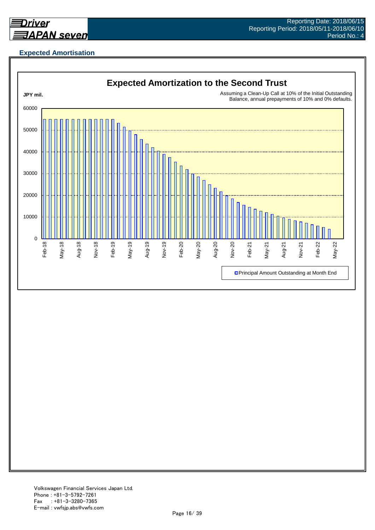

## **Expected Amortisation**

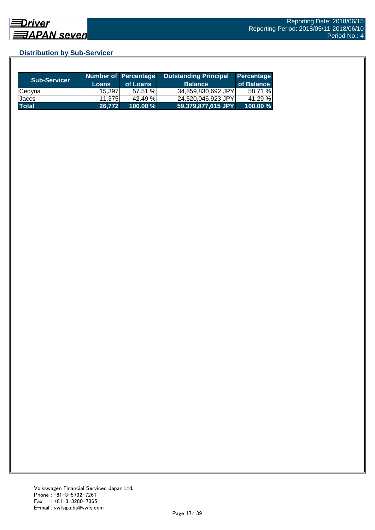## **Distribution by Sub-Servicer**

| <b>Sub-Servicer</b> | <b>Loans</b> | Number of Percentage<br>of Loans | <b>Outstanding Principal</b><br><b>Balance</b> | Percentage<br>of Balance |
|---------------------|--------------|----------------------------------|------------------------------------------------|--------------------------|
| Cedyna              | 15.397       | 57.51 %                          | 34,859,830,692 JPY                             | 58.71 %                  |
| Jaccs               | 11.3751      | 42.49 %                          | 24,520,046,923 JPY                             | 41.29 %                  |
| <b>Total</b>        | 26.772       | $100.00 \%$                      | 59,379,877,615 JPY                             | 100.00 %                 |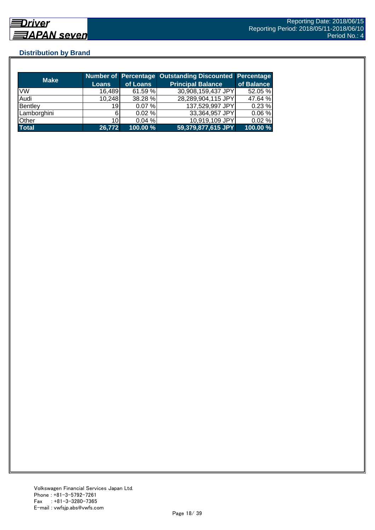## **Distribution by Brand**

| <b>Make</b>  |                 |          | Number of Percentage Outstanding Discounted Percentage |            |
|--------------|-----------------|----------|--------------------------------------------------------|------------|
|              | Loans           | of Loans | <b>Principal Balance</b>                               | of Balance |
| <b>VW</b>    | 16,489          | 61.59 %  | 30,908,159,437 JPY                                     | 52.05 %    |
| Audi         | 10,248          | 38.28 %  | 28,289,904,115 JPY                                     | 47.64 %    |
| Bentley      | 19 <sup>1</sup> | 0.07%    | 137,529,997 JPY                                        | 0.23%      |
| Lamborghini  | 6               | 0.02%    | 33,364,957 JPY                                         | 0.06%      |
| Other        | 10 <sup>1</sup> | 0.04%    | 10,919,109 JPY                                         | 0.02%      |
| <b>Total</b> | 26,772          | 100.00%  | 59,379,877,615 JPY                                     | 100.00 %   |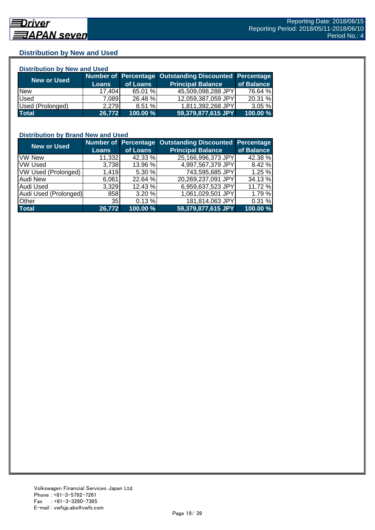## **Distribution by New and Used**

| <b>Distribution by New and Used</b> |              |          |                                                        |            |  |  |
|-------------------------------------|--------------|----------|--------------------------------------------------------|------------|--|--|
| New or Used                         |              |          | Number of Percentage Outstanding Discounted Percentage |            |  |  |
|                                     | <b>Loans</b> | of Loans | <b>Principal Balance</b>                               | of Balance |  |  |
| <b>New</b>                          | 17,404       | 65.01 %  | 45,509,098,288 JPY                                     | 76.64 %    |  |  |
| Used                                | 7,089        | 26.48 %  | 12,059,387,059 JPY                                     | 20.31 %    |  |  |
| Used (Prolonged)                    | 2,279        | 8.51%    | 1,811,392,268 JPY                                      | 3.05%      |  |  |
| <b>Total</b>                        | 26,772       | 100.00 % | 59,379,877,615 JPY                                     | 100.00 %   |  |  |

#### **Distribution by Brand New and Used**

| <b>New or Used</b>         |                 |          | Number of Percentage Outstanding Discounted | Percentage |
|----------------------------|-----------------|----------|---------------------------------------------|------------|
|                            | <b>Loans</b>    | of Loans | <b>Principal Balance</b>                    | of Balance |
| <b>VW New</b>              | 11,332          | 42.33 %  | 25,166,996,373 JPY                          | 42.38 %    |
| <b>VW Used</b>             | 3,738           | 13.96 %  | 4,997,567,379 JPY                           | 8.42%      |
| <b>VW Used (Prolonged)</b> | 1,419           | 5.30 %   | 743,595,685 JPY                             | 1.25 %     |
| <b>Audi New</b>            | 6,061           | 22.64 %  | 20,269,237,091 JPY                          | 34.13 %    |
| Audi Used                  | 3,329           | 12.43 %  | 6,959,637,523 JPY                           | 11.72 %    |
| Audi Used (Prolonged)      | 858             | 3.20%    | 1,061,029,501 JPY                           | 1.79 %     |
| <b>Other</b>               | 35 <sub>l</sub> | 0.13%    | 181,814,063 JPY                             | 0.31%      |
| <b>Total</b>               | 26,772          | 100.00 % | 59,379,877,615 JPY                          | 100.00 %   |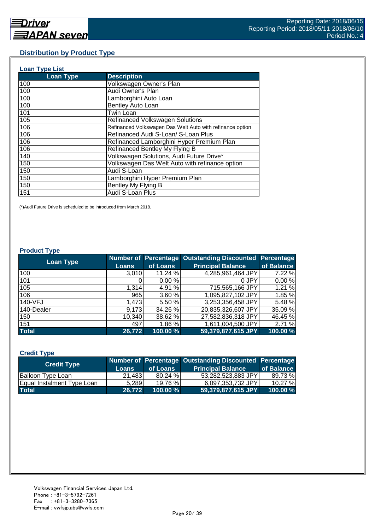#### **Distribution by Product Type**

| <b>Loan Type List</b> |                                                           |
|-----------------------|-----------------------------------------------------------|
| <b>Loan Type</b>      | <b>Description</b>                                        |
| 100                   | Volkswagen Owner's Plan                                   |
| 100                   | Audi Owner's Plan                                         |
| 100                   | Lamborghini Auto Loan                                     |
| 100                   | Bentley Auto Loan                                         |
| 101                   | Twin Loan                                                 |
| 105                   | <b>Refinanced Volkswagen Solutions</b>                    |
| 106                   | Refinanced Volkswagen Das Welt Auto with refinance option |
| 106                   | Refinanced Audi S-Loan/ S-Loan Plus                       |
| 106                   | Refinanced Lamborghini Hyper Premium Plan                 |
| 106                   | Refinanced Bentley My Flying B                            |
| 140                   | Volkswagen Solutions, Audi Future Drive*                  |
| 150                   | Volkswagen Das Welt Auto with refinance option            |
| 150                   | Audi S-Loan                                               |
| 150                   | Lamborghini Hyper Premium Plan                            |
| 150                   | Bentley My Flying B                                       |
| 151                   | Audi S-Loan Plus                                          |

(\*)Audi Future Drive is scheduled to be introduced from March 2018.

#### **Product Type**

| <b>Loan Type</b> |              |          | <b>Number of Percentage Outstanding Discounted</b> | <b>Percentage</b> |
|------------------|--------------|----------|----------------------------------------------------|-------------------|
|                  | <b>Loans</b> | of Loans | <b>Principal Balance</b>                           | of Balance        |
| 100              | 3,010        | 11.24 %  | 4,285,961,464 JPY                                  | 7.22 %            |
| 101              |              | 0.00%    | 0 JPY                                              | 0.00%             |
| 105              | 1.314        | 4.91 %   | 715,565,166 JPY                                    | 1.21 %            |
| 106              | 965          | 3.60 %   | 1,095,827,102 JPY                                  | 1.85 %            |
| 140-VFJ          | 1,473        | 5.50 %   | 3,253,356,458 JPY                                  | 5.48 %            |
| 140-Dealer       | 9,173        | 34.26 %  | 20,835,326,607 JPY                                 | 35.09 %           |
| 150              | 10,340       | 38.62 %  | 27,582,836,318 JPY                                 | 46.45 %           |
| 151              | 497          | 1.86 %   | 1,611,004,500 JPY                                  | 2.71 %            |
| <b>Total</b>     | 26,772       | 100.00 % | 59,379,877,615 JPY                                 | 100.00 %          |

#### **Credit Type**

| <b>Credit Type</b>         |        |             | Number of Percentage Outstanding Discounted Percentage |            |
|----------------------------|--------|-------------|--------------------------------------------------------|------------|
|                            | Loans  | of Loans    | <b>Principal Balance</b>                               | of Balance |
| Balloon Type Loan          | 21,483 | 80.24%      | 53,282,523,883 JPY                                     | 89.73%     |
| Equal Instalment Type Loan | 5.289  | 19.76 %     | 6,097,353,732 JPY                                      | 10.27 %    |
| <b>Total</b>               | 26.772 | $100.00 \%$ | $59,379,877,615$ JPY                                   | 100.00 %   |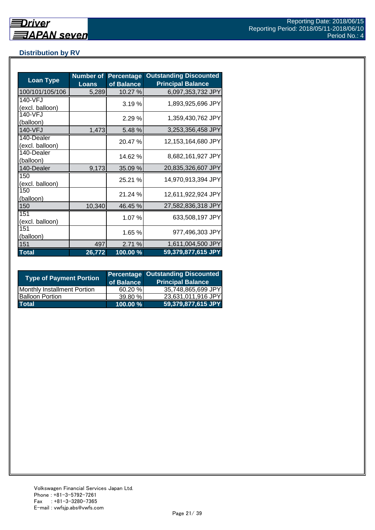## **Distribution by RV**

| <b>Loan Type</b>              | <b>Number of</b><br><b>Loans</b> | <b>Percentage</b><br>of Balance | <b>Outstanding Discounted</b><br><b>Principal Balance</b> |
|-------------------------------|----------------------------------|---------------------------------|-----------------------------------------------------------|
| 100/101/105/106               | 5,289                            | 10.27 %                         | 6,097,353,732 JPY                                         |
| 140-VFJ<br>(excl. balloon)    |                                  | 3.19%                           | 1,893,925,696 JPY                                         |
| 140-VFJ<br>(balloon)          |                                  | 2.29%                           | 1,359,430,762 JPY                                         |
| 140-VFJ                       | 1,473                            | 5.48 %                          | 3,253,356,458 JPY                                         |
| 140-Dealer<br>(excl. balloon) |                                  | 20.47 %                         | 12,153,164,680 JPY                                        |
| 140-Dealer<br>(balloon)       |                                  | 14.62 %                         | 8,682,161,927 JPY                                         |
| 140-Dealer                    | 9,173                            | 35.09 %                         | 20,835,326,607 JPY                                        |
| 150<br>(excl. balloon)        |                                  | 25.21 %                         | 14,970,913,394 JPY                                        |
| 150<br>(balloon)              |                                  | 21.24 %                         | 12,611,922,924 JPY                                        |
| 150                           | 10,340                           | 46.45 %                         | 27,582,836,318 JPY                                        |
| 151<br>(excl. balloon)        |                                  | 1.07 %                          | 633,508,197 JPY                                           |
| 151<br>(balloon)              |                                  | 1.65 %                          | 977,496,303 JPY                                           |
| 151                           | 497                              | 2.71 %                          | 1,611,004,500 JPY                                         |
| <b>Total</b>                  | 26,772                           | 100.00 %                        | 59,379,877,615 JPY                                        |

| <b>Type of Payment Portion</b>     | of Balance | <b>Percentage Outstanding Discounted</b><br><b>Principal Balance</b> |
|------------------------------------|------------|----------------------------------------------------------------------|
| <b>Monthly Installment Portion</b> | 60.20%     | 35,748,865,699 JPY                                                   |
| <b>Balloon Portion</b>             | 39.80%     | 23,631,011,916 JPY                                                   |
| <b>Total</b>                       | 100.00 %   | 59,379,877,615 JPY                                                   |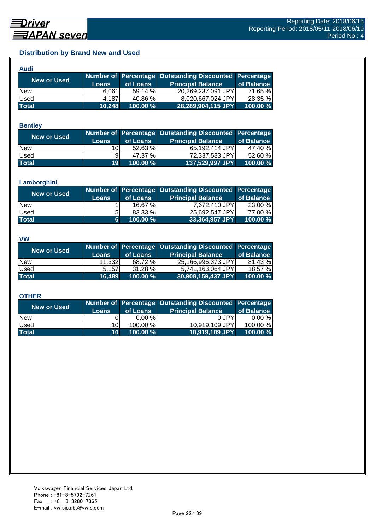## **Distribution by Brand New and Used**

| <b>Audi</b>  |              |          |                                                        |            |
|--------------|--------------|----------|--------------------------------------------------------|------------|
| New or Used  |              |          | Number of Percentage Outstanding Discounted Percentage |            |
|              | <b>Loans</b> | of Loans | <b>Principal Balance</b>                               | of Balance |
| <b>New</b>   | 6.061        | 59.14%   | 20,269,237,091 JPY                                     | 71.65 %    |
| Used         | 4.187        | 40.86 %  | 8,020,667,024 JPY                                      | 28.35 %    |
| <b>Total</b> | 10,248       | 100.00 % | 28,289,904,115 JPY                                     | 100.00 %   |

#### **Bentley**

| New or Used  |                 |            | Number of Percentage Outstanding Discounted Percentage |            |
|--------------|-----------------|------------|--------------------------------------------------------|------------|
|              | <b>Loans</b>    | of Loans   | <b>Principal Balance</b>                               | of Balance |
| <b>New</b>   | 10I             | $52.63 \%$ | 65,192,414 JPY                                         | 47.40 %    |
| <b>Used</b>  | 91              | 47.37 %    | 72,337,583 JPY                                         | 52.60 %    |
| <b>Total</b> | 19 <sup>°</sup> | 100.00 %   | 137,529,997 JPY                                        | 100.00 %   |

#### **Lamborghini**

| <b>New or Used</b> |              |          | Number of Percentage Outstanding Discounted Percentage |            |
|--------------------|--------------|----------|--------------------------------------------------------|------------|
|                    | <b>Loans</b> | of Loans | <b>Principal Balance</b>                               | of Balance |
| <b>New</b>         |              | 16.67%   | 7,672,410 JPY                                          | 23.00 %    |
| <b>Used</b>        | 5.           | 83.33 %  | 25,692,547 JPY                                         | 77.00 %    |
| <b>Total</b>       | 6.           | 100.00 % | 33,364,957 JPY                                         | 100.00 %   |

#### **VW**

| <b>New or Used</b> |              |            | Number of Percentage Outstanding Discounted Percentage |            |
|--------------------|--------------|------------|--------------------------------------------------------|------------|
|                    | <b>Loans</b> | of Loans   | <b>Principal Balance</b>                               | of Balance |
| <b>New</b>         | 11,332       | 68.72 %    | 25,166,996,373 JPY                                     | 81.43 %    |
| <b>Used</b>        | 5.157        | $31.28 \%$ | 5,741,163,064 JPY                                      | 18.57 %    |
| <b>Total</b>       | 16.489       | 100.00 %   | $ 30,908,159,437$ JPY                                  | 100.00 %   |

#### **OTHER**

| <b>New or Used</b> | <b>Loans</b>    | of Loans | Number of Percentage Outstanding Discounted Percentage<br><b>Principal Balance</b> | of Balance |
|--------------------|-----------------|----------|------------------------------------------------------------------------------------|------------|
| <b>New</b>         |                 | 0.00%    | 0 JPY                                                                              | $0.00 \%$  |
| Used               | 10I             | 100.00 % | 10,919,109 JPY                                                                     | 100.00 %   |
| <b>Total</b>       | 10 <sup>1</sup> | 100.00 % | 10,919,109 JPY                                                                     | 100.00 %   |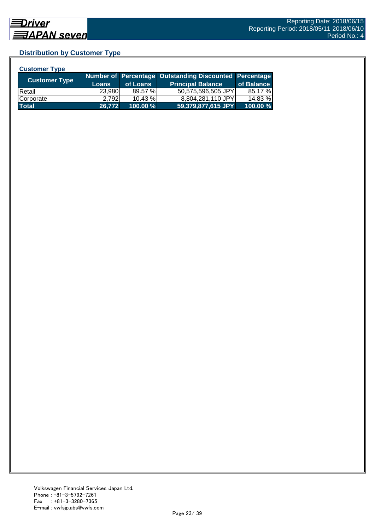## **Distribution by Customer Type**

| <b>Customer Type</b> |              |            |                                                        |            |
|----------------------|--------------|------------|--------------------------------------------------------|------------|
|                      |              |            | Number of Percentage Outstanding Discounted Percentage |            |
| <b>Customer Type</b> | <b>Loans</b> | of Loans   | <b>Principal Balance</b>                               | of Balance |
| <b>IRetail</b>       | 23,980       | 89.57 %    | 50,575,596,505 JPY                                     | 85.17 %    |
| Corporate            | 2.792        | $10.43 \%$ | 8,804,281,110 JPY                                      | 14.83 %    |
| <b>Total</b>         | 26,772       | 100.00 %   | 59,379,877,615 JPY                                     | 100.00 %   |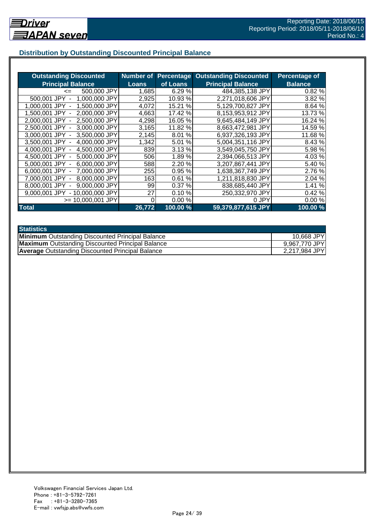## **Distribution by Outstanding Discounted Principal Balance**

| <b>Outstanding Discounted</b>      | Number of    |           | <b>Percentage Outstanding Discounted</b> | <b>Percentage of</b> |
|------------------------------------|--------------|-----------|------------------------------------------|----------------------|
| <b>Principal Balance</b>           | <b>Loans</b> | of Loans  | <b>Principal Balance</b>                 | <b>Balance</b>       |
| 500,000 JPY<br>$\leq$              | 1,685        | 6.29%     | 484,385,138 JPY                          | 0.82%                |
| 500,001 JPY<br>1,000,000 JPY       | 2,925        | 10.93 %   | 2,271,018,606 JPY                        | 3.82 %               |
| 1,500,000 JPY<br>1.000.001 JPY     | 4,072        | 15.21 %   | 5,129,700,827 JPY                        | 8.64 %               |
| 2,000,000 JPY<br>1,500,001 JPY -   | 4,663        | 17.42 %   | 8,153,953,912 JPY                        | 13.73 %              |
| 2.500,000 JPY<br>2.000.001 JPY -   | 4,298        | 16.05 %   | 9,645,484,149 JPY                        | 16.24 %              |
| 2,500,001 JPY -<br>3,000,000 JPY   | 3,165        | 11.82 %   | 8,663,472,981 JPY                        | 14.59 %              |
| 3,000,001 JPY -<br>3,500,000 JPY   | 2,145        | 8.01 %    | 6,937,326,193 JPY                        | 11.68 %              |
| 4,000,000 JPY<br>3,500,001 JPY -   | 1,342        | %<br>5.01 | 5,004,351,116 JPY                        | 8.43 %               |
| 4,500,000 JPY<br>4,000,001 JPY -   | 839          | 3.13%     | 3,549,045,750 JPY                        | 5.98 %               |
| 5,000,000 JPY<br>4.500,001 JPY -   | 506          | 1.89%     | 2,394,066,513 JPY                        | 4.03%                |
| 6,000,000 JPY<br>5.000.001 JPY -   | 588          | 2.20 %    | 3,207,867,441 JPY                        | 5.40 %               |
| 7,000,000 JPY<br>$6.000.001$ JPY - | 255          | 0.95%     | 1,638,367,749 JPY                        | 2.76 %               |
| 8,000,000 JPY<br>7.000.001 JPY     | 163          | %<br>0.61 | 1,211,818,830 JPY                        | 2.04 %               |
| 9,000,000 JPY<br>8,000,001 JPY     | 99           | 0.37%     | 838,685,440 JPY                          | 1.41 %               |
| 9.000.001 JPY<br>- 10,000,000 JPY  | 27           | 0.10%     | 250,332,970 JPY                          | 0.42%                |
| $>= 10,000,001$ JPY                | 0            | 0.00%     | 0 JPY                                    | 0.00%                |
| <b>Total</b>                       | 26,772       | 100.00 %  | 59,379,877,615 JPY                       | 100.00 %             |

| <b>Statistics</b>                                       |               |
|---------------------------------------------------------|---------------|
| <b>Minimum</b> Outstanding Discounted Principal Balance | 10,668 JPY    |
| <b>Maximum</b> Outstanding Discounted Principal Balance | 9,967,770 JPY |
| <b>Average Outstanding Discounted Principal Balance</b> | 2,217,984 JPY |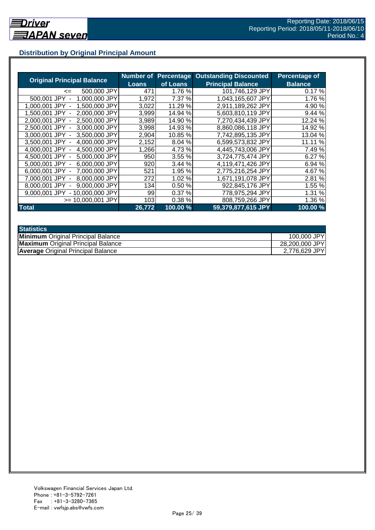## **Distribution by Original Principal Amount**

|                                           | Number of |          | <b>Percentage Outstanding Discounted</b> | <b>Percentage of</b> |
|-------------------------------------------|-----------|----------|------------------------------------------|----------------------|
| <b>Original Principal Balance</b>         | Loans     | of Loans | <b>Principal Balance</b>                 | <b>Balance</b>       |
| 500,000 JPY<br>$\leq$                     | 471       | 1.76 %   | 101.746.129 JPY                          | 0.17%                |
| 500,001 JPY<br>1,000,000 JPY              | 1,972     | 7.37 %   | 1,043,165,607 JPY                        | 1.76 %               |
| 1,500,000 JPY<br>1.000.001 JPY            | 3,022     | 11.29 %  | 2,911,189,262 JPY                        | 4.90 %               |
| 2.000.000 JPY<br>1.500.001<br>JPY         | 3,999     | 14.94 %  | 5,603,810,119 JPY                        | 9.44 %               |
| 2,500,000 JPY<br>2.000.001 JPY -          | 3,989     | 14.90 %  | 7,270,434,439 JPY                        | 12.24 %              |
| 2,500,001 JPY -<br>3,000,000 JPY          | 3,998     | 14.93 %  | 8,860,086,118 JPY                        | 14.92 %              |
| 3,000,001 JPY -<br>3.500,000 JPY          | 2,904     | 10.85 %  | 7,742,895,135 JPY                        | 13.04 %              |
| 4,000,000 JPY<br>3,500,001 JPY -          | 2,152     | 8.04 %   | 6,599,573,832 JPY                        | 11.11 %              |
| 4,500,000 JPY<br>4.000.001 JPY -          | 1,266     | 4.73 %   | 4,445,743,006 JPY                        | 7.49 %               |
| 4.500.001 JPY -<br>5,000,000 JPY          | 950       | 3.55 %   | 3,724,775,474 JPY                        | 6.27 %               |
| 6,000,000 JPY<br>5.000.001 JPY -          | 920       | 3.44 %   | 4,119,471,426 JPY                        | 6.94 %               |
| 7,000,000 JPY<br>6,000,001 JPY -          | 521       | 1.95 %   | 2,775,216,254 JPY                        | 4.67 %               |
| 8,000,000 JPY<br>7.000.001 JPY -          | 272       | 1.02 %   | 1,671,191,078 JPY                        | 2.81 %               |
| 9,000,000 JPY<br>8.000.001 JPY            | 134       | 0.50%    | 922,845,176 JPY                          | 1.55 %               |
| 10.000.000 JPY<br>9.000.001 JPY<br>$\sim$ | 99        | 0.37%    | 778,975,294 JPY                          | 1.31 %               |
| >= 10.000.001 JPY                         | 1031      | 0.38%    | 808,759,266 JPY                          | 1.36 %               |
| <b>Total</b>                              | 26,772    | 100.00 % | 59,379,877,615 JPY                       | 100.00 %             |

| <b>Statistics</b>                         |                |
|-------------------------------------------|----------------|
| <b>Minimum</b> Original Principal Balance | 100,000 JPY    |
| <b>Maximum</b> Original Principal Balance | 28,200,000 JPY |
| <b>Average Original Principal Balance</b> | 2,776,629 JPY  |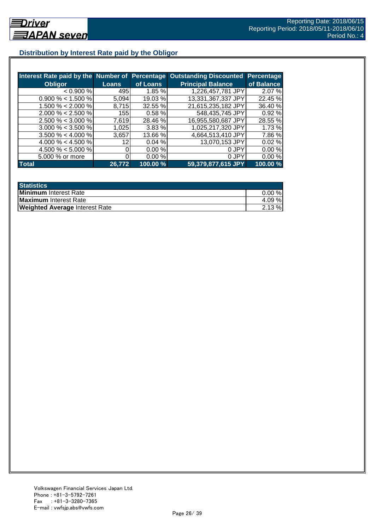## **Distribution by Interest Rate paid by the Obligor**

| Interest Rate paid by the Number of Percentage |        |          | <b>Outstanding Discounted</b> | <b>Percentage</b> |
|------------------------------------------------|--------|----------|-------------------------------|-------------------|
| <b>Obligor</b>                                 | Loans  | of Loans | <b>Principal Balance</b>      | of Balance        |
| < 0.900 %                                      | 495    | 1.85%    | 1,226,457,781 JPY             | 2.07 %            |
| $0.900\% < 1.500\%$                            | 5,094  | 19.03 %  | 13,331,367,337 JPY            | 22.45 %           |
| $1.500\% < 2.000\%$                            | 8.715  | 32.55 %  | 21,615,235,182 JPY            | 36.40 %           |
| $2.000\% < 2.500\%$                            | 155    | 0.58%    | 548,435,745 JPY               | 0.92%             |
| $2.500\% < 3.000\%$                            | 7.619  | 28.46 %  | 16,955,580,687 JPY            | 28.55 %           |
| $3.000\% < 3.500\%$                            | 1,025  | 3.83 %   | 1,025,217,320 JPY             | 1.73 %            |
| $3.500\% < 4.000\%$                            | 3,657  | 13.66 %  | 4,664,513,410 JPY             | 7.86 %            |
| 4.000 % < 4.500 %                              | 12     | 0.04%    | 13,070,153 JPY                | 0.02%             |
| 4.500 % < 5.000 %                              |        | 0.00%    | 0 JPY                         | 0.00%             |
| 5.000 % or more                                |        | 0.00%    | 0 JPY                         | 0.00%             |
| <b>Total</b>                                   | 26,772 | 100.00 % | 59,379,877,615 JPY            | 100.00%           |

| <b>Statistics</b>                     |           |
|---------------------------------------|-----------|
| Minimum Interest Rate                 | $0.00 \%$ |
| Maximum Interest Rate                 | 4.09 %    |
| <b>Weighted Average Interest Rate</b> | $2.13 \%$ |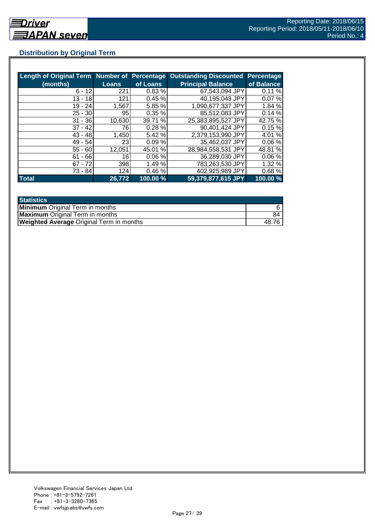## **Distribution by Original Term**

| Length of Original Term Number of Percentage |              |          | <b>Outstanding Discounted</b> | <b>Percentage</b> |
|----------------------------------------------|--------------|----------|-------------------------------|-------------------|
| (months)                                     | <b>Loans</b> | of Loans | <b>Principal Balance</b>      | of Balance        |
| $6 - 12$                                     | 221          | 0.83%    | 67,543,094 JPY                | 0.11%             |
| $13 - 18$                                    | 121          | 0.45%    | 40,195,043 JPY                | 0.07%             |
| $19 - 24$                                    | 1,567        | 5.85 %   | 1,090,677,337 JPY             | 1.84 %            |
| $25 - 30$                                    | 95           | 0.35%    | 85,512,083 JPY                | 0.14%             |
| $31 - 36$                                    | 10,630       | 39.71 %  | 25,383,895,527 JPY            | 42.75 %           |
| $37 - 42$                                    | 76I          | 0.28%    | 90,401,424 JPY                | 0.15%             |
| $43 - 48$                                    | 1,450        | 5.42 %   | 2,379,153,990 JPY             | 4.01 %            |
| $49 - 54$                                    | 23I          | 0.09%    | 35,462,037 JPY                | 0.06%             |
| $55 - 60$                                    | 12,051       | 45.01 %  | 28,984,558,531 JPY            | 48.81 %           |
| $61 - 66$                                    | 16           | 0.06%    | 36,289,030 JPY                | 0.06%             |
| $67 - 72$                                    | 398          | 1.49 %   | 783,263,530 JPY               | 1.32%             |
| 73 - 84                                      | 124          | 0.46%    | 402,925,989 JPY               | 0.68%             |
| <b>Total</b>                                 | 26,772       | 100.00 % | 59,379,877,615 JPY            | 100.00 %          |

| <b>Statistics</b>                               |       |
|-------------------------------------------------|-------|
| <b>Minimum</b> Original Term in months          |       |
| <b>Maximum</b> Original Term in months          | 84    |
| <b>Weighted Average Original Term in months</b> | 48.7F |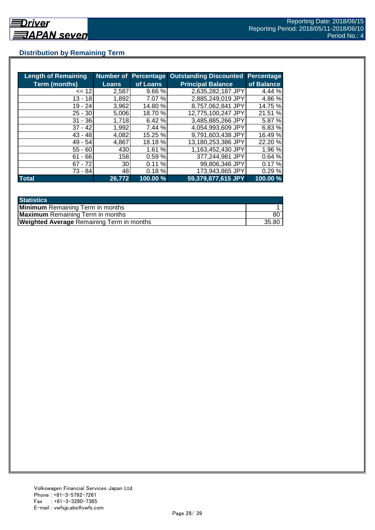## **Distribution by Remaining Term**

| <b>Length of Remaining</b> |              |          | <b>Number of Percentage Outstanding Discounted</b> | <b>Percentage</b> |
|----------------------------|--------------|----------|----------------------------------------------------|-------------------|
| <b>Term (months)</b>       | <b>Loans</b> | of Loans | <b>Principal Balance</b>                           | of Balance        |
| $= 12$                     | 2,587        | 9.66 %   | 2,635,282,187 JPY                                  | 4.44 %            |
| $13 - 18$                  | 1,892        | 7.07 %   | 2,885,249,019 JPY                                  | 4.86%             |
| 19 - 24                    | 3,962        | 14.80 %  | 8,757,062,841 JPY                                  | 14.75 %           |
| $25 - 30$                  | 5,006        | 18.70 %  | 12,775,100,247 JPY                                 | 21.51 %           |
| $31 - 36$                  | 1,718        | 6.42 %   | 3,485,885,266 JPY                                  | 5.87 %            |
| $37 - 42$                  | 1,992        | 7.44 %   | 4,054,993,609 JPY                                  | 6.83%             |
| $43 - 48$                  | 4,082        | 15.25 %  | 9,791,603,438 JPY                                  | 16.49 %           |
| $49 - 54$                  | 4,867        | 18.18 %  | 13,180,253,386 JPY                                 | 22.20 %           |
| $55 - 60$                  | 430          | 1.61 %   | 1,163,452,430 JPY                                  | 1.96 %            |
| - 66<br>61                 | 158          | 0.59 %   | 377,244,981 JPY                                    | 0.64%             |
| $67 - 72$                  | 30I          | 0.11%    | 99,806,346 JPY                                     | 0.17%             |
| 73 - 84                    | 481          | 0.18%    | 173,943,865 JPY                                    | 0.29%             |
| <b>Total</b>               | 26,772       | 100.00 % | 59,379,877,615 JPY                                 | 100.00 %          |

| <b>Statistics</b>                                |       |
|--------------------------------------------------|-------|
| <b>Minimum</b> Remaining Term in months          |       |
| <b>Maximum</b> Remaining Term in months          | 80    |
| <b>Weighted Average Remaining Term in months</b> | 35.80 |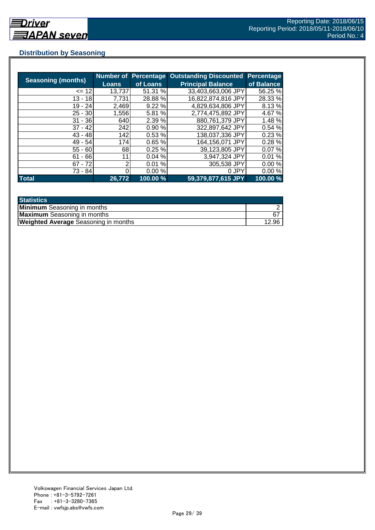## **Distribution by Seasoning**

| <b>Seasoning (months)</b> | <b>Loans</b> | <b>Number of Percentage</b><br>of Loans | <b>Outstanding Discounted</b><br><b>Principal Balance</b> | <b>Percentage</b><br>of Balance |
|---------------------------|--------------|-----------------------------------------|-----------------------------------------------------------|---------------------------------|
|                           |              |                                         |                                                           |                                 |
| $= 12$                    | 13,737       | 51.31 %                                 | 33,403,663,006 JPY                                        | 56.25 %                         |
| $13 - 18$                 | 7,731        | 28.88%                                  | 16,822,874,816 JPY                                        | 28.33 %                         |
| $19 - 24$                 | 2,469        | 9.22%                                   | 4,829,634,806 JPY                                         | 8.13%                           |
| $25 - 30$                 | 1,556        | 5.81 %                                  | 2,774,475,892 JPY                                         | 4.67 %                          |
| $31 - 36$                 | 640          | 2.39 %                                  | 880,761,379 JPY                                           | 1.48 %                          |
| $37 - 42$                 | 242          | 0.90%                                   | 322,897,642 JPY                                           | 0.54%                           |
| $43 - 48$                 | 142          | 0.53%                                   | 138,037,336 JPY                                           | 0.23%                           |
| $49 - 54$                 | 174          | 0.65%                                   | 164,156,071 JPY                                           | 0.28%                           |
| $55 - 60$                 | 68           | 0.25%                                   | 39,123,805 JPY                                            | 0.07%                           |
| $61 - 66$                 | 11           | 0.04%                                   | 3,947,324 JPY                                             | 0.01%                           |
| $67 - 72$                 | 2            | 0.01%                                   | 305,538 JPY                                               | 0.00%                           |
| 73 - 84                   |              | 0.00%                                   | 0 JPY                                                     | 0.00%                           |
| <b>Total</b>              | 26,772       | 100.00 %                                | 59,379,877,615 JPY                                        | 100.00 %                        |

| <b>Statistics</b>                           |       |
|---------------------------------------------|-------|
| <b>Minimum</b> Seasoning in months          |       |
| <b>Maximum</b> Seasoning in months          | 67    |
| <b>Weighted Average Seasoning in months</b> | 12.96 |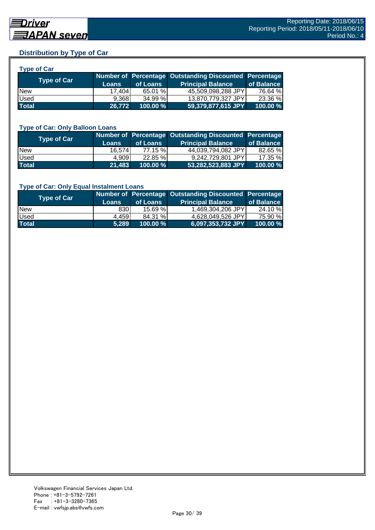## **Distribution by Type of Car**

| <b>Type of Car</b> |              |          |                                                        |            |
|--------------------|--------------|----------|--------------------------------------------------------|------------|
| <b>Type of Car</b> |              |          | Number of Percentage Outstanding Discounted Percentage |            |
|                    | <b>Loans</b> | of Loans | <b>Principal Balance</b>                               | of Balance |
| <b>New</b>         | 17.404       | 65.01 %  | 45,509,098,288 JPY                                     | 76.64 %    |
| Used               | 9,368        | 34.99%   | 13,870,779,327 JPY                                     | 23.36 %    |
| <b>Total</b>       | 26,772       | 100.00 % | 59,379,877,615 JPY                                     | 100.00%    |

#### **Type of Car: Only Balloon Loans**

| Type of Car  | <b>Loans</b> | of Loans    | Number of Percentage Outstanding Discounted Percentage<br><b>Principal Balance</b> | of Balance |
|--------------|--------------|-------------|------------------------------------------------------------------------------------|------------|
| <b>New</b>   | 16.574       | 77.15 %     | 44.039.794.082 JPYL                                                                | 82.65 %    |
| Used         | 4.909        | $22.85 \%$  | 9.242.729.801 JPYI                                                                 | 17.35 %    |
| <b>Total</b> | 21,483       | $100.00 \%$ | 53,282,523,883 JPY                                                                 | 100.00%    |

#### **Type of Car: Only Equal Instalment Loans**

| <b>Type of Car</b> |              |             | Number of Percentage Outstanding Discounted Percentage |            |
|--------------------|--------------|-------------|--------------------------------------------------------|------------|
|                    | <b>Loans</b> | of Loans    | <b>Principal Balance</b>                               | of Balance |
| <b>New</b>         | 8301         | 15.69%      | 1,469,304,206 JPY                                      | 24.10 %    |
| Used               | 4,459        | 84.31 %     | 4.628.049.526 JPYI                                     | 75.90 %    |
| <b>Total</b>       | 5.289        | $100.00 \%$ | 6,097,353,732 JPY                                      | 100.00 %   |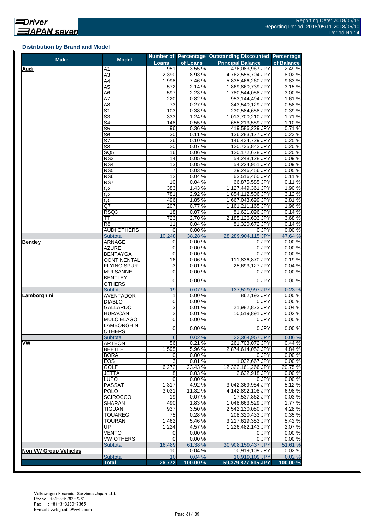#### **Distribution by Brand and Model**

| <b>Make</b>                  | <b>Model</b>                     |                         |                 | Number of Percentage Outstanding Discounted Percentage |                 |
|------------------------------|----------------------------------|-------------------------|-----------------|--------------------------------------------------------|-----------------|
|                              |                                  | Loans                   | of Loans        | <b>Principal Balance</b>                               | of Balance      |
| <b>Audi</b>                  | Α1                               | 951                     | 3.55%           | 1,476,083,967 JPY                                      | 2.49%           |
|                              | A3                               | 2,390                   | 8.93%           | 4,762,556,704 JPY                                      | 8.02%           |
|                              | A4                               | 1,998                   | 7.46%           | 5,835,466,260 JPY                                      | 9.83%           |
|                              | A5                               | 572                     | 2.14%           | 1,869,860,739 JPY                                      | 3.15%           |
|                              | A6                               | 597                     | 2.23 %          | 1,780,544,058 JPY                                      | 3.00 %          |
|                              | A7                               | 220                     | 0.82%           | 953,144,494 JPY                                        | 1.61%           |
|                              | A8                               | 73                      | 0.27%           | 343,540,129 JPY                                        | 0.58%           |
|                              | S1                               | 103                     | 0.38%           | 230,584,658 JPY                                        | 0.39%           |
|                              | $\overline{\mathbb{S}^3}$<br>S4  | 333                     | 1.24 %<br>0.55% | 1,013,700,210 JPY                                      | 1.71 %          |
|                              |                                  | 148<br>96               | 0.36%           | 655,213,559 JPY                                        | 1.10%<br>0.71%  |
|                              | $\overline{\text{S5}}$           | 30                      | 0.11%           | 419,586,229 JPY<br>136,283,177 JPY                     | 0.23%           |
|                              | S <sub>6</sub><br>S7             | 26                      | 0.10%           | 146,434,729 JPY                                        | 0.25%           |
|                              | S8                               | 20                      | 0.07%           | 120,735,842 JPY                                        | 0.20%           |
|                              | $\overline{SQ5}$                 | 16                      | 0.06%           | 120,172,678 JPY                                        | 0.20%           |
|                              | RS3                              | 14                      | 0.05%           | 54,248,128 JPY                                         | 0.09%           |
|                              | RS4                              | 13                      | 0.05%           | 54,224,951 JPY                                         | 0.09%           |
|                              | RS5                              | 7                       | 0.03%           | 29,246,456 JPY                                         | 0.05%           |
|                              | RS6                              | 12                      | 0.04%           | 63,516,460 JPY                                         | 0.11%           |
|                              | RS7                              | 10                      | 0.04%           | 66,875,585 JPY                                         | 0.11%           |
|                              | Q2                               | 383                     | 1.43%           | 1,127,449,361 JPY                                      | 1.90%           |
|                              | Q3                               | 781                     | 2.92%           | 1,854,112,506 JPY                                      | 3.12%           |
|                              | Q5                               | 496                     | 1.85 %          | 1,667,043,699 JPY                                      | 2.81%           |
|                              | Q7                               | 207                     | 0.77%           | 1,161,211,165 JPY                                      | 1.96 %          |
|                              | RSQ3                             | 18                      | 0.07%           | 81,621,096 JPY                                         | 0.14%           |
|                              | ТT                               | 723                     | 2.70%           | 2,185,126,603 JPY                                      | 3.68%           |
|                              | R <sub>8</sub>                   | 11                      | 0.04%           | 81,320,672 JPY                                         | 0.14%           |
|                              | <b>AUDI OTHERS</b>               | 0                       | 0.00%           | 0 JPY                                                  | 0.00%           |
|                              | <b>Subtotal</b>                  | 10,248                  | 38.28 %         | 28,289,904,115 JPY                                     | 47.64 %         |
| <b>Bentley</b>               | <b>ARNAGE</b>                    | $\mathbf 0$             | 0.00%           | 0 JPY                                                  | 0.00%           |
|                              | AZURE                            | 0                       | 0.00%           | 0 JPY                                                  | 0.00%           |
|                              | <b>BENTAYGA</b>                  | 0                       | 0.00%           | 0 JPY                                                  | 0.00%           |
|                              | CONTINENTAL                      | 16                      | 0.06%           | 111,836,870 JPY                                        | 0.19%           |
|                              | FLYING SPUR                      | 3                       | 0.01%           | 25,693,127 JPY                                         | 0.04 %          |
|                              | <b>MULSANNE</b>                  | 0                       | 0.00%           | 0 JPY                                                  | 0.00%           |
|                              | BENTLEY                          | $\mathbf 0$             | 0.00%           | 0 JPY                                                  | 0.00%           |
|                              | <b>OTHERS</b>                    |                         |                 |                                                        |                 |
|                              | Subtotal                         | 19                      | 0.07%           | 137,529,997 JPY                                        | 0.23%           |
| Lamborghini                  | <b>AVENTADOR</b>                 | $\mathbf{1}$            | 0.00%           | 862,193 JPY                                            | 0.00%           |
|                              | <b>DIABLO</b>                    | 0                       | 0.00%           | 0 JPY                                                  | 0.00%           |
|                              | GALLARDO                         | 3                       | 0.01%           | 21,982,873 JPY                                         | 0.04%           |
|                              | HURACÁN                          | $\overline{\mathbf{c}}$ | 0.01%           | 10,519,891 JPY                                         | 0.02%           |
|                              | MULCIELAGO                       | 0                       | 0.00%           | 0 JPY                                                  | 0.00%           |
|                              | LAMBORGHINI                      | $\pmb{0}$               | 0.00%           | 0 JPY                                                  | 0.00%           |
|                              | <b>OTHERS</b>                    |                         |                 |                                                        |                 |
| VW                           | <b>Subtotal</b><br><b>ARTEON</b> | 6<br>56                 | 0.02%<br>0.21%  | 33,364,957 JPY<br>261,703,072 JPY                      | 0.06 %<br>0.44% |
|                              | BEETLE                           | 1,595                   | 5.96%           | 2,874,614,052 JPY                                      | 4.84 %          |
|                              | <b>BORA</b>                      | 0                       | 0.00%           | 0 JPY                                                  | 0.00%           |
|                              | EOS                              | 3                       | 0.01%           | 1,032,667 JPY                                          | 0.00%           |
|                              | <b>GOLF</b>                      | 6,272                   | 23.43%          | 12,322,161,266 JPY                                     | 20.75%          |
|                              | JETTA                            | 8                       | 0.03%           | 2,632,918 JPY                                          | 0.00%           |
|                              | LUPO                             | $\mathbf 0$             | 0.00%           | 0 JPY                                                  | 0.00%           |
|                              | <b>PASSAT</b>                    | 1,317                   | 4.92%           | 3,042,369,954 JPY                                      | 5.12%           |
|                              | POLO                             | 3,031                   | 11.32 %         | 4,142,892,108 JPY                                      | 6.98%           |
|                              | <b>SCIROCCO</b>                  | 19                      | 0.07%           | 17,537,862 JPY                                         | 0.03%           |
|                              | <b>SHARAN</b>                    | 490                     | 1.83%           | 1,048,663,529 JPY                                      | 1.77 %          |
|                              | <b>TIGUAN</b>                    | 937                     | 3.50%           | 2,542,130,080 JPY                                      | 4.28%           |
|                              | <b>TOUAREG</b>                   | 75                      | 0.28%           | 208,320,433 JPY                                        | 0.35 %          |
|                              | <b>TOURAN</b>                    | 1,462                   | 5.46%           | 3,217,619,353 JPY                                      | 5.42 %          |
|                              | UP                               | 1,224                   | 4.57%           | 1,226,482,143 JPY                                      | 2.07%           |
|                              | VENTO                            | 0                       | 0.00%           | 0 JPY                                                  | 0.00%           |
|                              | <b>VW OTHERS</b>                 | 0                       | 0.00%           | 0 JPY                                                  | 0.00%           |
|                              | <b>Subtotal</b>                  | 16,489                  | 61.38 %         | 30,908,159,437 JPY                                     | 51.61 %         |
| <b>Non VW Group Vehicles</b> |                                  | 10                      | 0.04%           | 10,919,109 JPY                                         | 0.02%           |
|                              | Subtotal                         | 10                      | 0.04%           | 10,919,109 JPY                                         | 0.02%           |
|                              | <b>Total</b>                     | 26,772                  | 100.00%         | 59,379,877,615 JPY                                     | 100.00 %        |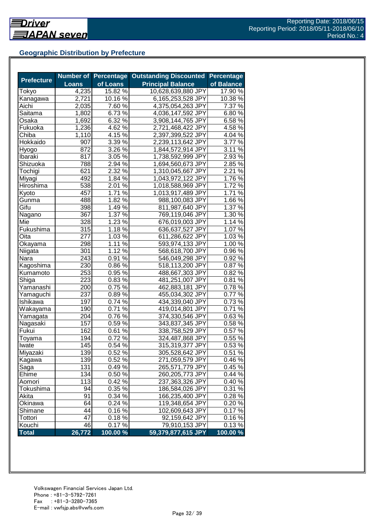## **Geographic Distribution by Prefecture**

|                   |              | <b>Number of Percentage</b> | <b>Outstanding Discounted</b> | <b>Percentage</b> |
|-------------------|--------------|-----------------------------|-------------------------------|-------------------|
| <b>Prefecture</b> | <b>Loans</b> | of Loans                    | <b>Principal Balance</b>      | of Balance        |
| Tokyo             | 4,235        | 15.82 %                     | 10,628,639,880 JPY            | 17.90 %           |
| Kanagawa          | 2,721        | 10.16 %                     | 6,165,253,528 JPY             | 10.38 %           |
| Aichi             | 2,035        | 7.60 %                      | 4,375,054,263 JPY             | 7.37 %            |
| Saitama           | 1,802        | 6.73 %                      | 4,036,147,592 JPY             | 6.80%             |
| Osaka             | 1,692        | 6.32 %                      | 3,908,144,765 JPY             | 6.58%             |
| Fukuoka           | 1,236        | $4.62\%$                    | 2,721,468,422 JPY             | 4.58 %            |
| Chiba             | 1,110        | 4.15 $\sqrt{6}$             | 2,397,399,522 JPY             | 4.04 %            |
| Hokkaido          | 907          | 3.39 $\sqrt{8}$             | 2,239,113,642 JPY             | 3.77 %            |
| Hyogo             | 872          | 3.26 %                      | 1,844,572,914 JPY             | 3.11 %            |
| Ibaraki           | 817          | 3.05 %                      | 1,738,592,999 JPY             | $2.93\,\sqrt{2}$  |
| Shizuoka          | 788          | 2.94 %                      | 1,694,560,673 JPY             | 2.85 %            |
| Tochigi           | 621          | 2.32 %                      | 1,310,045,667 JPY             | 2.21 %            |
| Miyagi            | 492          | $1.84\%$                    | 1,043,972,122 JPY             | 1.76%             |
| Hiroshima         | 538          | 2.01 %                      | 1,018,588,969 JPY             | 1.72%             |
| Kyoto             | 457          | 1.71 %                      | 1,013,917,489 JPY             | 1.71%             |
| Gunma             | 488          | 1.82 %                      | 988,100,083 JPY               | 1.66 %            |
| Gifu              | 398          | 1.49 %                      | 811,987,640 JPY               | 1.37 %            |
| Nagano            | 367          | 1.37 %                      | 769,119,046 JPY               | 1.30 %            |
| Mie               | 328          | $1.23\%$                    | 676,019,003 JPY               | 1.14 %            |
| Fukushima         | 315          | 1.18 %                      | 636,637,527 JPY               | 1.07%             |
| Oita              | 277          | $1.03\%$                    | 611,286,622 JPY               | $1.03\%$          |
| Okayama           | 298          | $1.11\%$                    | 593,974,133 JPY               | $1.00\%$          |
| Niigata           | 301          | 1.12%                       | 568,618,700 JPY               | 0.96%             |
| Nara              | 243          | 0.91%                       | 546,049,298 JPY               | 0.92%             |
| Kagoshima         | 230          | 0.86 %                      | 518,113,200 JPY               | 0.87%             |
| Kumamoto          | 253          | 0.95 %                      | 488,667,303 JPY               | 0.82%             |
| Shiga             | 223          | 0.83%                       | 481,251,007 JPY               | 0.81%             |
| Yamanashi         | 200          | 0.75%                       | 462,883,181 JPY               | 0.78%             |
| Yamaguchi         | 237          | 0.89%                       | 455,034,302 JPY               | 0.77%             |
| Ishikawa          | 197          | 0.74 %                      | 434,339,040 JPY               | 0.73%             |
| Wakayama          | 190          | 0.71%                       | 419,014,801 JPY               | 0.71%             |
| Yamagata          | 204          | $0.76\sqrt{26}$             | 374,330,546 JPY               | 0.63%             |
| Nagasaki          | 157          | $0.59\%$                    | 343,837,345 JPY               | 0.58%             |
| Fukui             | 162          | $0.61\%$                    | 338,758,529 JPY               | 0.57 %            |
| Toyama            | 194          | 0.72%                       | 324,487,868 JPY               | 0.55%             |
| Iwate             | 145          | 0.54 %                      | 315,319,377 JPY               | 0.53%             |
| Miyazaki          | 139          | 0.52 %                      | 305,528,642 JPY               | 0.51%             |
| Kagawa            | 139          | 0.52 %                      | 271,059,579 JPY               | 0.46%             |
| Saga              | 131          | 0.49%                       | 265,571,779 JPY               | 0.45 %            |
| Ehime             | 134          | 0.50 %                      | 260,205,773 JPY               | 0.44%             |
| Aomori            | 113          | 0.42%                       | 237,363,326 JPY               | 0.40%             |
| Tokushima         | 94           | 0.35 %                      | 186,584,026 JPY               | 0.31 %            |
| Akita             | 91           | 0.34 %                      | 166,235,400 JPY               | 0.28%             |
| Okinawa           | 64           | $0.24\sqrt{2}$              | 119,348,654 JPY               | 0.20%             |
| Shimane           | 44           | 0.16%                       | 102,609,643 JPY               | 0.17%             |
| Tottori           | 47           | 0.18%                       | 92,159,642 JPY                | 0.16%             |
| Kouchi            | 46           | 0.17%                       | 79,910,153 JPY                | 0.13%             |
| <b>Total</b>      | 26,772       | $100.00\%$                  | 59,379,877,615 JPY            | 100.00 %          |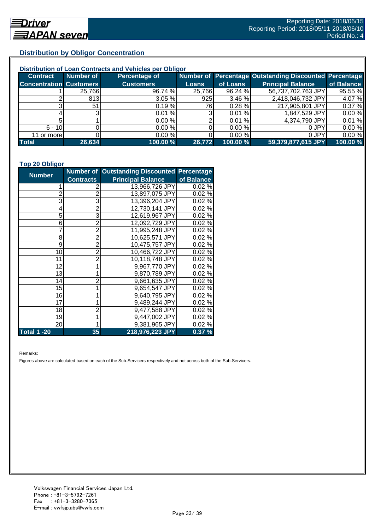## **Distribution by Obligor Concentration**

| Distribution of Loan Contracts and Vehicles per Obligor |           |                  |        |           |                                                        |            |  |
|---------------------------------------------------------|-----------|------------------|--------|-----------|--------------------------------------------------------|------------|--|
| <b>Contract</b>                                         | Number of | Percentage of    |        |           | Number of Percentage Outstanding Discounted Percentage |            |  |
| <b>Concentration Customers</b>                          |           | <b>Customers</b> | Loans  | of Loans  | <b>Principal Balance</b>                               | of Balance |  |
|                                                         | 25,766    | 96.74 %          | 25,766 | 96.24 %   | 56,737,702,763 JPY                                     | 95.55 %    |  |
|                                                         | 813       | 3.05%            | 925    | 3.46%     | 2,418,046,732 JPY                                      | 4.07%      |  |
| ົ                                                       | 51        | 0.19%            | 76I    | $0.28 \%$ | 217,905,801 JPY                                        | 0.37%      |  |
|                                                         |           | 0.01%            |        | 0.01%     | 1,847,529 JPY                                          | 0.00%      |  |
|                                                         |           | 0.00%            |        | 0.01%     | 4,374,790 JPY                                          | 0.01%      |  |
| $6 - 10$                                                |           | 0.00%            |        | 0.00%     | 0 JPY                                                  | 0.00%      |  |
| 11 or more                                              |           | 0.00%            |        | 0.00 %    | 0 JPY                                                  | 0.00%      |  |
| <b>Total</b>                                            | 26,634    | 100.00 %         | 26,772 | 100.00 %  | 59,379,877,615 JPY                                     | 100.00 %   |  |

#### **Top 20 Obligor**

| <b>Number</b>      |                  | Number of Outstanding Discounted Percentage |            |
|--------------------|------------------|---------------------------------------------|------------|
|                    | <b>Contracts</b> | <b>Principal Balance</b>                    | of Balance |
| 1                  | 2                | 13,966,726 JPY                              | 0.02%      |
| $\overline{c}$     | $\overline{2}$   | 13,897,075 JPY                              | 0.02%      |
| 3                  | 3                | 13,396,204 JPY                              | 0.02%      |
| 4                  | $\overline{2}$   | 12,730,141 JPY                              | 0.02%      |
| 5                  | 3                | 12,619,967 JPY                              | 0.02%      |
| 6                  | $\overline{c}$   | 12,092,729 JPY                              | 0.02%      |
| 7                  | $\overline{2}$   | 11,995,248 JPY                              | 0.02%      |
| 8                  | $\overline{2}$   | 10,625,571 JPY                              | 0.02%      |
| 9                  | $\overline{2}$   | 10,475,757 JPY                              | 0.02%      |
| 10                 | $\overline{2}$   | 10,466,722 JPY                              | 0.02%      |
| 11                 | $\overline{2}$   | 10,118,748 JPY                              | 0.02%      |
| 12                 | 1                | 9,967,770 JPY                               | 0.02%      |
| 13                 | 1                | 9,870,789 JPY                               | 0.02%      |
| 14                 | $\overline{2}$   | 9,661,635 JPY                               | 0.02%      |
| 15                 | $\mathbf 1$      | 9,654,547 JPY                               | 0.02%      |
| 16                 | 1                | 9,640,795 JPY                               | 0.02%      |
| 17                 | 1                | 9,489,244 JPY                               | 0.02%      |
| 18                 | $\overline{2}$   | 9,477,588 JPY                               | 0.02%      |
| 19                 | 1                | 9,447,002 JPY                               | 0.02%      |
| 20                 | 1                | 9,381,965 JPY                               | 0.02%      |
| <b>Total 1 -20</b> | 35               | 218,976,223 JPY                             | 0.37%      |

Remarks:

Figures above are calculated based on each of the Sub-Servicers respectively and not across both of the Sub-Servicers.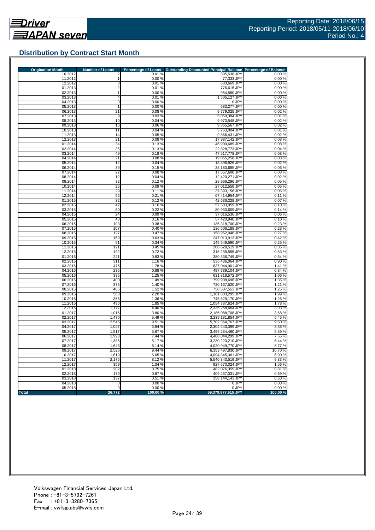

## **Distribution by Contract Start Month**

| <b>Origination Month</b> | <b>Number of Loans</b> | <b>Percentage of Loans</b> | <b>Outstanding Discounted Principal Balance</b> | <b>Percentage of Balance</b> |
|--------------------------|------------------------|----------------------------|-------------------------------------------------|------------------------------|
| 10.2012                  | 2                      | 0.01%                      | 305,538 JPY                                     | 0.00%                        |
| 11.2012<br>12.2012       | 1<br>3                 | 0.00 %<br>0.01%            | 77,333 JPY                                      | 0.00%                        |
| 01.2013                  | $\overline{2}$         | 0.01%                      | 633,669 JPY<br>776,615 JPY                      | 0.00%<br>0.00%               |
| 02.2013                  | 1                      | 0.00%                      | 954,580 JPY                                     | 0.00%                        |
| 03.2013                  | 4                      | 0.01%                      | 1,505,127 JPY                                   | 0.00%                        |
| 04.2013                  | $\overline{0}$         | 0.00%                      | 0 JPY                                           | 0.00%                        |
| 05.2013                  | $\mathbf{1}$           | 0.00 %                     | 683,277 JPY                                     | 0.00%                        |
| 06.2013                  | 21                     | 0.08%                      | 9,779,025 JPY                                   | 0.02%                        |
| 07.2013                  | 9                      | 0.03%                      | 5,059,384 JPY                                   | 0.01%                        |
| 08.2013                  | 10                     | 0.04%                      | 9,973,548 JPY                                   | 0.02%                        |
| 09.2013                  | 16                     | 0.06%                      | 9,865,567 JPY                                   | 0.02%                        |
| 10.2013                  | 11                     | 0.04%                      | 3,763,004 JPY                                   | 0.01%                        |
| 11.2013                  | 14                     | 0.05 %                     | 9,866,431 JPY                                   | 0.02%                        |
| 12.2013                  | 21                     | 0.08%                      | 17,987,142 JPY                                  | 0.03%                        |
| 01.2014                  | 34                     | 0.13%                      | 46,900,689 JPY                                  | 0.08%                        |
| 02.2014                  | 35                     | 0.13%                      | 22,828,773 JPY                                  | 0.04%                        |
| 03.2014                  | 49                     | 0.18%                      | 47,517,778 JPY                                  | 0.08%                        |
| 04.2014                  | 21                     | 0.08%                      | 19,055,258 JPY                                  | 0.03%                        |
| 05.2014                  | 12                     | 0.04%                      | 13,896,926 JPY                                  | 0.02%                        |
| 06.2014                  | 39                     | 0.15%                      | 38,183,685 JPY                                  | 0.06%                        |
| 07.2014<br>08.2014       | 22<br>12               | 0.08%<br>0.04%             | 17,557,600 JPY<br>12,420,271 JPY                | 0.03%<br>0.02%               |
| 09.2014                  | 32                     | 0.12%                      | 28,966,296 JPY                                  | 0.05%                        |
| 10.2014                  | 25                     | 0.09%                      | 27,012,558 JPY                                  | 0.05%                        |
| 11.2014                  | 29                     | 0.11%                      | 37,393,156 JPY                                  | 0.06%                        |
| 12.2014                  | 55                     | 0.21%                      | 67,414,954 JPY                                  | 0.11%                        |
| 01.2015                  | 32                     | 0.12%                      | 42,636,328 JPY                                  | 0.07%                        |
| 02.2015                  | 42                     | 0.16%                      | 57,503,059 JPY                                  | 0.10%                        |
| 03.2015                  | 60                     | 0.22%                      | 80,933,609 JPY                                  | 0.14%                        |
| 04.2015                  | 24                     | 0.09%                      | 37,016,536 JPY                                  | 0.06%                        |
| 05.2015                  | 43                     | 0.16%                      | 57,420,940 JPY                                  | 0.10%                        |
| 06.2015                  | 103                    | 0.38%                      | 135,318,700 JPY                                 | 0.23%                        |
| 07.2015                  | 107                    | 0.40%                      | 136,506,188 JPY                                 | 0.23%                        |
| 08.2015                  | 127                    | 0.47%                      | 158,952,048 JPY                                 | 0.27%                        |
| 09.2015                  | 169                    | 0.63%                      | 247,013,913 JPY                                 | 0.42%                        |
| 10.2015                  | 91                     | 0.34%                      | 145,549,590 JPY                                 | 0.25%                        |
| 11.2015                  | 121                    | 0.45%                      | 208,629,519 JPY                                 | 0.35%                        |
| 12.2015                  | 192                    | 0.72%                      | 315,239,555 JPY                                 | 0.53%                        |
| 01.2016<br>02.2016       | 221<br>311             | 0.83%<br>1.16%             | 380,336,749 JPY<br>535,436,064 JPY              | 0.64 %<br>0.90%              |
| 03.2016                  | 476                    | 1.78 %                     | 837,044,901 JPY                                 | 1.41%                        |
| 04.2016                  | 235                    | 0.88%                      | 497,789,104 JPY                                 | 0.84%                        |
| 05.2016                  | 335                    | 1.25%                      | 631,818,572 JPY                                 | 1.06 %                       |
| 06.2016                  | 400                    | 1.49 %                     | 799,908,696 JPY                                 | 1.35 %                       |
| 07.2016                  | 375                    | 1.40 %                     | 720,167,520 JPY                                 | 1.21 %                       |
| 08.2016                  | 406                    | 1.52 %                     | 750,507,553 JPY                                 | 1.26 %                       |
| 09.2016                  | 588                    | 2.20 %                     | 1,181,603,295 JPY                               | 1.99%                        |
| 10.2016                  | 365                    | 1.36 %                     | 745,629,170 JPY                                 | 1.26 %                       |
| 11.2016                  | 496                    | 1.85 %                     | 1,054,787,624 JPY                               | 1.78%                        |
| 12.2016                  | 1,177                  | 4.40 %                     | 2,336,258,464 JPY                               | 3.93 %                       |
| 01.2017                  | 1,016                  | 3.80 %                     | 2,186,088,708 JPY                               | 3.68%                        |
| 02.2017                  | 1,470                  | 5.49 %                     | 3,239,131,854 JPY                               | 5.45 %                       |
| 03.2017                  | 2,545                  | 9.51%                      | 5,702,364,767 JPY                               | 9.60%                        |
| 04.2017<br>05.2017       | 1,027                  | 3.84 %<br>5.67 %           | 2,304,243,399 JPY                               | 3.88 %<br>5.89%              |
| 06.2017                  | 1.517<br>1,993         | 7.44 %                     | 3,499,234,460 JPY<br>4,488,044,299 JPY          | 7.56 %                       |
| 07.2017                  | 1,385                  | 5.17%                      | 3,230,220,210 JPY                               | 5.44 %                       |
| 08.2017                  | 1,645                  | 6.14 %                     | 4,020,949,770 JPY                               | 6.77%                        |
| 09.2017                  | 2,526                  | 9.44 %                     | 6,353,497,830 JPY                               | 10.70 %                      |
| 10.2017                  | 1,619                  | 6.05%                      | 4,094,345,361 JPY                               | 6.90%                        |
| 11.2017                  | 2,175                  | 8.12%                      | 5,540,343,519 JPY                               | 9.33%                        |
| 12.2017                  | 359                    | 1.34 %                     | 927,570,024 JPY                                 | 1.56 %                       |
| 01.2018                  | 202                    | 0.75%                      | 482,076,359 JPY                                 | 0.81%                        |
| 02.2018                  | 179                    | 0.67%                      | 409,237,031 JPY                                 | 0.69%                        |
| 03.2018                  | 137                    | 0.51%                      | 358,144,143 JPY                                 | 0.60%                        |
| 04.2018                  | $\Omega$               | 0.00%                      | 0 JPY                                           | 0.00%                        |
| 05.2018                  | $\overline{0}$         | 0.00%                      | 0 JPY                                           | 0.00%                        |
| <b>Total</b>             | 26,772                 | 100.00 %                   | 59,379,877,615 JPY                              | 100.00 %                     |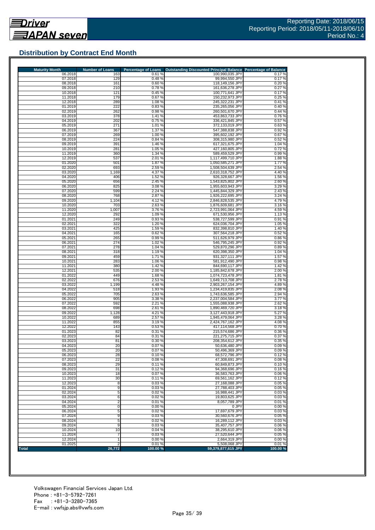

## **Distribution by Contract End Month**

| <b>Maturity Month</b> | <b>Number of Loans</b> | <b>Percentage of Loans</b> | <b>Outstanding Discounted Principal Balance</b> | <b>Percentage of Balance</b> |
|-----------------------|------------------------|----------------------------|-------------------------------------------------|------------------------------|
| 06.2018               | 163                    | 0.61%                      | 100,990,035 JPY                                 | 0.17%                        |
| 07.2018<br>08.2018    | 129<br>161             | 0.48%<br>0.60%             | 99,994,550 JPY<br>118,149,156 JPY               | 0.17%<br>0.20%               |
| 09.2018               | 210                    | 0.78%                      | 161,636,278 JPY                                 | 0.27%                        |
| 10.2018               | 121                    | 0.45 %                     | 100,771,641 JPY                                 | 0.17%                        |
| 11.2018               | 179                    | 0.67%                      | 150,232,973 JPY                                 | 0.25%                        |
| 12.2018               | 289                    | 1.08%<br>0.83%             | 245,322,231 JPY                                 | 0.41%                        |
| 01.2019<br>02.2019    | 222<br>262             | 0.98%                      | 235,265,056 JPY<br>260.501.670 JPY              | 0.40%<br>0.44 %              |
| 03.2019               | 378                    | 1.41%                      | 453,863,733 JPY                                 | 0.76%                        |
| 04.2019               | 202                    | 0.75%                      | 336,421,845 JPY                                 | 0.57 %                       |
| 05.2019               | 271                    | 1.01%                      | 372,133,019 JPY                                 | 0.63%                        |
| 06.2019               | 367                    | 1.37 %                     | 547,388,838 JPY                                 | 0.92%                        |
| 07.2019               | 269                    | 1.00 %                     | 395,602,192 JPY                                 | 0.67%                        |
| 08.2019<br>09.2019    | 224<br>391             | 0.84 %<br>1.46 %           | 308,315,980 JPY<br>617,321,675 JPY              | 0.52%<br>1.04 %              |
| 10.2019               | 281                    | 1.05 %                     | 427,160,805 JPY                                 | 0.72%                        |
| 11.2019               | 360                    | 1.34 %                     | 589,459,529 JPY                                 | 0.99%                        |
| 12.2019               | 537                    | 2.01 %                     | 1,117,499,710 JPY                               | 1.88%                        |
| 01.2020               | 501                    | 1.87%                      | 1,050,585,271 JPY                               | 1.77%                        |
| 02.2020               | 693                    | 2.59%                      | 1,508,504,639 JPY                               | 2.54 %                       |
| 03.2020<br>04.2020    | 1,169<br>406           | 4.37 %<br>1.52 %           | 2,610,318,752 JPY<br>926,328,667 JPY            | 4.40 %<br>1.56 %             |
| 05.2020               | 656                    | 2.45 %                     | 1,543,825,802 JPY                               | 2.60%                        |
| 06.2020               | 825                    | 3.08%                      | 1,955,603,943 JPY                               | 3.29%                        |
| 07.2020               | 599                    | 2.24 %                     | 1,445,844,329 JPY                               | 2.43%                        |
| 08.2020               | 768                    | 2.87%                      | 1.926.222.695 JPY                               | 3.24 %                       |
| 09.2020               | 1,104                  | 4.12%                      | 2,846,828,535 JPY                               | 4.79%                        |
| 10.2020               | 703                    | 2.63%                      | 1,876,609,681 JPY                               | 3.16%                        |
| 11.2020<br>12.2020    | 1,007<br>292           | 3.76 %<br>1.09%            | 2,723,991,064 JPY<br>671,530,956 JPY            | 4.59 %<br>1.13%              |
| 01.2021               | 249                    | 0.93%                      | 538,727,599 JPY                                 | 0.91%                        |
| 02.2021               | 322                    | 1.20%                      | 624.036.704 JPY                                 | 1.05 %                       |
| 03.2021               | 425                    | 1.59 %                     | 832.398.810 JPY                                 | 1.40 %                       |
| 04.2021               | 165                    | 0.62%                      | 307,564,218 JPY                                 | 0.52%                        |
| 05.2021               | 265                    | 0.99 %                     | 511,626,979 JPY                                 | 0.86%                        |
| 06.2021<br>07.2021    | 274<br>278             | 1.02%<br>1.04 %            | 546,795,245 JPY<br>529,870,296 JPY              | 0.92%<br>0.89%               |
| 08.2021               | 318                    | 1.19%                      | 620,398,350 JPY                                 | 1.04 %                       |
| 09.2021               | 459                    | 1.71%                      | 931,327,111 JPY                                 | 1.57%                        |
| 10.2021               | 283                    | 1.06%                      | 581,912,490 JPY                                 | 0.98%                        |
| 11.2021               | 380                    | 1.42 %                     | 844,690,117 JPY                                 | 1.42 %                       |
| 12.2021               | 535                    | 2.00 %                     | 1,185,842,678 JPY                               | 2.00 %                       |
| 01.2022<br>02.2022    | 449<br>676             | 1.68%                      | 1,074,723,478 JPY                               | 1.81%                        |
| 03.2022               | 1,199                  | 2.53 %<br>4.48%            | 1,649,713,708 JPY<br>2,903,267,154 JPY          | 2.78%<br>4.89%               |
| 04.2022               | 518                    | 1.93 %                     | 1,234,419,835 JPY                               | 2.08%                        |
| 05.2022               | 705                    | 2.63 %                     | 1,743,636,585 JPY                               | 2.94 %                       |
| 06.2022               | 905                    | 3.38 %                     | 2,237,004,584 JPY                               | 3.77 %                       |
| 07.2022               | 592                    | 2.21 %                     | 1,555,088,938 JPY                               | 2.62%                        |
| 08.2022<br>09.2022    | 698<br>1,128           | 2.61 %<br>4.21 %           | 1,890,469,720 JPY<br>3,127,443,918 JPY          | 3.18%<br>5.27%               |
| 10.2022               | 689                    | 2.57 %                     | 1,945,479,064 JPY                               | 3.28 %                       |
| 11.2022               | 855                    | 3.19%                      | 2,424,767,162 JPY                               | 4.08%                        |
| 12.2022               | 143                    | 0.53 %                     | 417,114,568 JPY                                 | 0.70%                        |
| 01.2023               | 82                     | 0.31%                      | 215,574,686 JPY                                 | 0.36%                        |
| 02.2023               | 84                     | 0.31%                      | 221.275.715 JPY                                 | 0.37%                        |
| 03.2023               | 81                     | 0.30%                      | 208,354,612 JPY                                 | 0.35%                        |
| 04.2023               | 20<br>20               | 0.07%                      | 50,636,480 JPY                                  | 0.09%<br>0.09%               |
| 05.2023<br>06.2023    | 28                     | 0.07%<br>0.10%             | 50,496,369 JPY<br>68,572,796 JPY                | 0.12%                        |
| 07.2023               | 22                     | 0.08%                      | 47,308,691 JPY                                  | 0.08%                        |
| 08.2023               | 29                     | 0.11%                      | 60,849,873 JPY                                  | 0.10%                        |
| 09.2023               | 31                     | 0.12%                      | 94,368,696 JPY                                  | 0.16%                        |
| 10.2023               | 18                     | 0.07%                      | 36,583,763 JPY                                  | 0.06%                        |
| 11.2023               | 30                     | 0.11%                      | 69,561,162 JPY                                  | 0.12%                        |
| 12.2023<br>01.2024    | 8<br>9                 | 0.03%<br>0.03%             | 27,168,088 JPY<br>27,788,403 JPY                | 0.05%<br>0.05%               |
| 02.2024               | 5                      | 0.02%                      | 16,988,441 JPY                                  | 0.03%                        |
| 03.2024               | 6                      | 0.02%                      | 19,803,625 JPY                                  | 0.03%                        |
| 04.2024               | 2                      | 0.01%                      | 8,057,789 JPY                                   | 0.01%                        |
| 05.2024               | 0                      | 0.00%                      | 0 JPY                                           | 0.00%                        |
| 06.2024               | 5                      | 0.02%                      | 17,697,679 JPY                                  | 0.03%                        |
| 07.2024               | 9                      | 0.03%                      | 30,560,676 JPY                                  | 0.05%                        |
| 08.2024<br>09.2024    | 5<br>9                 | 0.02%<br>0.03%             | 16,289,112 JPY<br>35,407,757 JPY                | 0.03%<br>0.06%               |
| 10.2024               | 10                     | 0.04%                      | 38,295,610 JPY                                  | 0.06%                        |
| 11.2024               |                        | 0.03%                      | 27,520,644 JPY                                  | 0.05%                        |
| 12.2024               |                        | 0.00%                      | 2,664,319 JPY                                   | 0.00%                        |
| 01.2025               |                        | 0.01%                      | 5,508,068 JPY                                   | 0.01%                        |
| Total                 | 26,772                 | 100.00%                    | 59,379,877,615 JPY                              | 100.00%                      |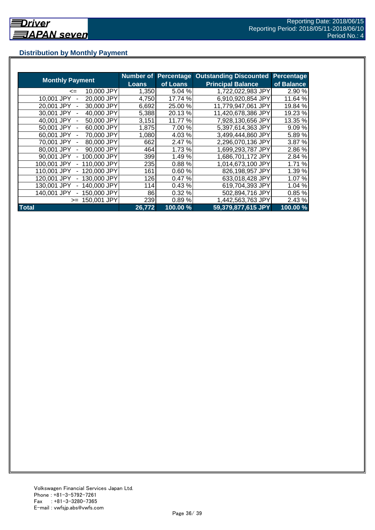## **Distribution by Monthly Payment**

|                            | <b>Number of</b> | <b>Percentage</b> | <b>Outstanding Discounted</b> | Percentage |
|----------------------------|------------------|-------------------|-------------------------------|------------|
| <b>Monthly Payment</b>     | Loans            | of Loans          | <b>Principal Balance</b>      | of Balance |
| 10,000 JPY<br><=           | 1,350            | 5.04 %            | 1,722,022,983 JPY             | 2.90 %     |
| 20,000 JPY<br>10,001 JPY   | 4,750            | 17.74 %           | 6,910,920,854 JPY             | 11.64 %    |
| 20,001 JPY<br>30,000 JPY   | 6,692            | 25.00 %           | 11,779,947,061 JPY            | 19.84 %    |
| 40,000 JPY<br>30.001 JPY   | 5,388            | 20.13%            | 11,420,678,386 JPY            | 19.23 %    |
| 40.001 JPY<br>50,000 JPY   | 3,151            | 11.77 %           | 7,928,130,656 JPY             | 13.35 %    |
| 50.001 JPY<br>60,000 JPY   | 1,875            | 7.00 %            | 5,397,614,363 JPY             | 9.09 %     |
| 70,000 JPY<br>60,001 JPY   | 1,080            | 4.03%             | 3,499,444,860 JPY             | 5.89%      |
| 80,000 JPY<br>70,001 JPY   | 662              | 2.47 %            | 2,296,070,136 JPY             | 3.87 %     |
| 80,001 JPY<br>90,000 JPY   | 464              | 1.73 %            | 1,699,293,787 JPY             | 2.86 %     |
| 90,001 JPY<br>100,000 JPY  | 399              | 1.49%             | 1,686,701,172 JPY             | 2.84 %     |
| 100,001 JPY<br>110,000 JPY | 235              | 0.88%             | 1,014,673,100 JPY             | 1.71%      |
| 110,001 JPY<br>120,000 JPY | 161              | 0.60%             | 826,198,957 JPY               | 1.39 %     |
| 130,000 JPY<br>120.001 JPY | 126              | 0.47%             | 633,018,428 JPY               | 1.07 %     |
| 140,000 JPY<br>130.001 JPY | 114              | 0.43%             | 619,704,393 JPY               | 1.04 %     |
| 140,001 JPY<br>150.000 JPY | 86               | 0.32%             | 502,894,716 JPY               | 0.85%      |
| 150.001 JPY<br>$>=$        | 239              | 0.89%             | 1,442,563,763 JPY             | 2.43 %     |
| <b>Total</b>               | 26,772           | 100.00 %          | 59,379,877,615 JPY            | 100.00%    |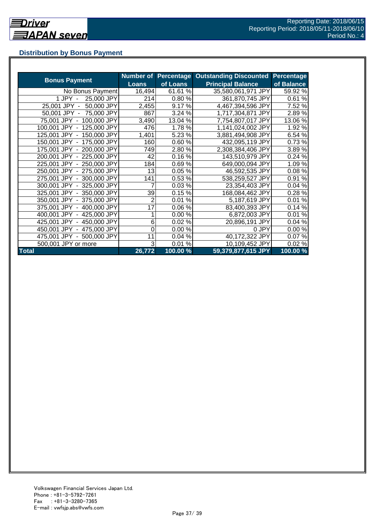## **Distribution by Bonus Payment**

|                            | <b>Number of</b> |          | <b>Percentage Outstanding Discounted</b> | <b>Percentage</b> |
|----------------------------|------------------|----------|------------------------------------------|-------------------|
| <b>Bonus Payment</b>       | <b>Loans</b>     | of Loans | <b>Principal Balance</b>                 | of Balance        |
| No Bonus Payment           | 16,494           | 61.61%   | 35,580,061,971 JPY                       | 59.92 %           |
| 25,000 JPY<br>1 JPY -      | 214              | 0.80%    | 361,870,745 JPY                          | 0.61%             |
| 50,000 JPY<br>25,001 JPY - | 2,455            | 9.17%    | 4,467,394,596 JPY                        | 7.52 %            |
| 50,001 JPY - 75,000 JPY    | 867              | 3.24 %   | 1,717,304,871 JPY                        | 2.89%             |
| 75,001 JPY - 100,000 JPY   | 3,490            | 13.04 %  | 7,754,807,017 JPY                        | 13.06%            |
| 100,001 JPY - 125,000 JPY  | 476              | 1.78 %   | 1,141,024,002 JPY                        | 1.92 %            |
| 125,001 JPY - 150,000 JPY  | 1,401            | 5.23 %   | 3,881,494,908 JPY                        | 6.54 %            |
| 150,001 JPY - 175,000 JPY  | 160              | 0.60%    | 432,095,119 JPY                          | 0.73%             |
| 175,001 JPY - 200,000 JPY  | 749              | 2.80 %   | 2,308,384,406 JPY                        | 3.89%             |
| 200,001 JPY - 225,000 JPY  | 42               | 0.16%    | 143,510,979 JPY                          | 0.24%             |
| 225,001 JPY - 250,000 JPY  | 184              | 0.69%    | 649,000,094 JPY                          | 1.09%             |
| 250,001 JPY - 275,000 JPY  | 13               | 0.05%    | 46,592,535 JPY                           | 0.08%             |
| 275,001 JPY - 300,000 JPY  | 141              | 0.53 %   | 538,259,527 JPY                          | 0.91%             |
| 300,001 JPY - 325,000 JPY  | 7                | 0.03%    | 23,354,403 JPY                           | 0.04%             |
| 325,001 JPY - 350,000 JPY  | 39               | 0.15%    | 168,084,462 JPY                          | 0.28%             |
| 350,001 JPY - 375,000 JPY  | 2                | 0.01%    | 5,187,619 JPY                            | 0.01%             |
| 375,001 JPY - 400,000 JPY  | 17               | 0.06%    | 83,400,393 JPY                           | 0.14%             |
| 400,001 JPY - 425,000 JPY  |                  | 0.00%    | 6,872,003 JPY                            | 0.01%             |
| 425,001 JPY - 450,000 JPY  | 6                | 0.02%    | 20,896,191 JPY                           | 0.04%             |
| 450,001 JPY - 475,000 JPY  | 0                | 0.00%    | 0 JPY                                    | 0.00%             |
| 475,001 JPY - 500,000 JPY  | 11               | 0.04%    | 40,172,322 JPY                           | 0.07%             |
| 500,001 JPY or more        | 3                | 0.01%    | 10,109,452 JPY                           | 0.02%             |
| <b>Total</b>               | 26,772           | 100.00 % | 59,379,877,615 JPY                       | 100.00%           |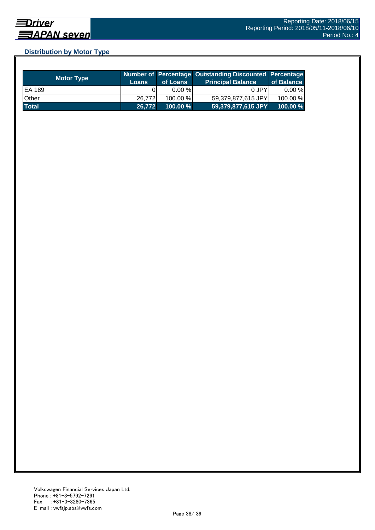## **Distribution by Motor Type**

| <b>Motor Type</b> | <b>Loans</b> | of Loans    | Number of Percentage Outstanding Discounted Percentage<br>Principal Balance <sup>'</sup> | of Balance |
|-------------------|--------------|-------------|------------------------------------------------------------------------------------------|------------|
| EA 189            |              | $0.00 \%$   | 0 JPY                                                                                    | $0.00 \%$  |
| Other             | 26.772       | $100.00\%$  | 59,379,877,615 JPY                                                                       | 100.00 %   |
| <b>Total</b>      | 26,772       | $100.00 \%$ | 59,379,877,615 JPY                                                                       | 100.00%    |